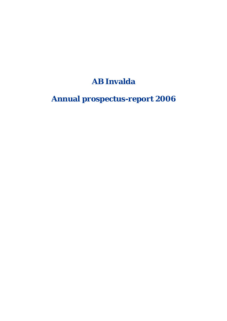# **AB Invalda**

**Annual prospectus-report 2006**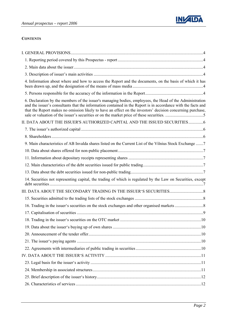

# **CONTENTS**

| 4. Information about where and how to access the Report and the documents, on the basis of which it has                                                                                                                                                                                                                                 |  |
|-----------------------------------------------------------------------------------------------------------------------------------------------------------------------------------------------------------------------------------------------------------------------------------------------------------------------------------------|--|
|                                                                                                                                                                                                                                                                                                                                         |  |
| 6. Declaration by the members of the issuer's managing bodies, employees, the Head of the Administration<br>and the issuer's consultants that the information contained in the Report is in accordance with the facts and<br>that the Report makes no omission likely to have an effect on the investors' decision concerning purchase, |  |
| II. DATA ABOUT THE ISSUER'S AUTHORIZED CAPITAL AND THE ISSUED SECURITIES 6                                                                                                                                                                                                                                                              |  |
|                                                                                                                                                                                                                                                                                                                                         |  |
|                                                                                                                                                                                                                                                                                                                                         |  |
| 9. Main characteristics of AB Invalda shares listed on the Current List of the Vilnius Stock Exchange 7                                                                                                                                                                                                                                 |  |
|                                                                                                                                                                                                                                                                                                                                         |  |
|                                                                                                                                                                                                                                                                                                                                         |  |
|                                                                                                                                                                                                                                                                                                                                         |  |
|                                                                                                                                                                                                                                                                                                                                         |  |
| 14. Securities not representing capital, the trading of which is regulated by the Law on Securities, except                                                                                                                                                                                                                             |  |
|                                                                                                                                                                                                                                                                                                                                         |  |
|                                                                                                                                                                                                                                                                                                                                         |  |
|                                                                                                                                                                                                                                                                                                                                         |  |
|                                                                                                                                                                                                                                                                                                                                         |  |
|                                                                                                                                                                                                                                                                                                                                         |  |
|                                                                                                                                                                                                                                                                                                                                         |  |
|                                                                                                                                                                                                                                                                                                                                         |  |
|                                                                                                                                                                                                                                                                                                                                         |  |
|                                                                                                                                                                                                                                                                                                                                         |  |
|                                                                                                                                                                                                                                                                                                                                         |  |
|                                                                                                                                                                                                                                                                                                                                         |  |
|                                                                                                                                                                                                                                                                                                                                         |  |
|                                                                                                                                                                                                                                                                                                                                         |  |
|                                                                                                                                                                                                                                                                                                                                         |  |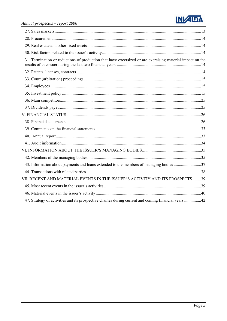

| 31. Termination or reductions of production that have excersized or are exercising material impact on the |  |
|-----------------------------------------------------------------------------------------------------------|--|
|                                                                                                           |  |
|                                                                                                           |  |
|                                                                                                           |  |
|                                                                                                           |  |
|                                                                                                           |  |
|                                                                                                           |  |
|                                                                                                           |  |
|                                                                                                           |  |
|                                                                                                           |  |
|                                                                                                           |  |
|                                                                                                           |  |
|                                                                                                           |  |
|                                                                                                           |  |
| 43. Information about payments and loans extended to the members of managing bodies 37                    |  |
|                                                                                                           |  |
| VII. RECENT AND MATERIAL EVENTS IN THE ISSUER'S ACTIVITY AND ITS PROSPECTS 39                             |  |
|                                                                                                           |  |
|                                                                                                           |  |
| 47. Strategy of activities and its prospective chantes during current and coming financial years 42       |  |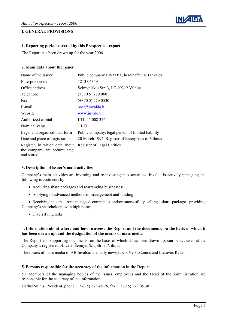

# <span id="page-3-0"></span>**I. GENERAL PROVISIONS**

#### **1. Reporting period covered by this Prospectus - report**

The Report has been drawn up for the year 2006.

#### **2. Main data about the issuer**

| Name of the issuer                                                         | Public company INVALDA, hereinafter AB Invalda    |
|----------------------------------------------------------------------------|---------------------------------------------------|
| Enterprise code                                                            | 1213 04349                                        |
| Office address                                                             | Šeimyniškių Str. 3, LT-09312 Vilnius              |
| Telephone                                                                  | $(+3705)$ 279 0601                                |
| Fax                                                                        | $(+3705)$ 279 0530                                |
| E-mail                                                                     | $post(a)$ invalda.lt                              |
| Website                                                                    | www.invalda.lt                                    |
| Authorized capital                                                         | LTL 45 008 376                                    |
| Nominal value                                                              | 1 LTL                                             |
| Legal and organizational form                                              | Public company, legal person of limited liability |
| Date and place of registration                                             | 20 March 1992, Register of Enterprises of Vilnius |
| Register, in which data about<br>the company are accumulated<br>and stored | Register of Legal Entities                        |

#### **3. Description of issuer's main activities**

Company's main activities are investing and re-investing into securities. Invalda is actively managing the following investments by:

- Acquiring share packages and rearranging businesses;
- Applying of advanced methods of management and funding;

• Receiving income from managed companies and/or successfully selling share packages providing Company's shareholders with high return;

• Diversifying risks.

#### **4. Information about where and how to access the Report and the documents, on the basis of which it has been drawn up, and the designation of the means of mass media**

The Report and supporting documents, on the basis of which it has been drawn up, can be accessed at the Company's registered office at Šeimyniškių Str. 3, Vilnius

The means of mass media of AB Invalda: the daily newspapers Verslo žinios and Lietuvos Rytas.

#### **5. Persons responsible for the accuracy of the information in the Report**

5.1 Members of the managing bodies of the issuer, employees and the Head of the Administration are responsible for the accuracy of the information:

Darius Šulnis, President, phone (+370 5) 273 48 76, fax (+370 5) 279 05 30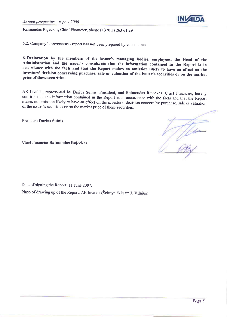

Raimondas Rajeckas, Chief Financier, phone (+370 5) 263 61 29

5.2. Company's prospectus - report has not been prepared by consultants.

6. Declaration by the members of the issuer's managing bodies, employees, the Head of the Administration and the issuer's consultants that the information contained in the Report is in accordance with the facts and that the Report makes no omission likely to have an effect on the investors' decision concerning purchase, sale or valuation of the issuer's securities or on the market price of these securities.

AB Invalda, represented by Darius Šulnis, President, and Raimondas Rajeckas, Chief Financier, hereby confirm that the information contained in the Report is in accordance with the facts and that the Report makes no omission likely to have an effect on the investors' decision concerning purchase, sale or valuation of the issuer's securities or on the market price of these securities.

President Darius Šulnis

Chief Financier Raimondas Rajeckas

Date of signing the Report: 11 June 2007.

Place of drawing up of the Report: AB Invalda (Šeimyniškių str.3, Vilnius)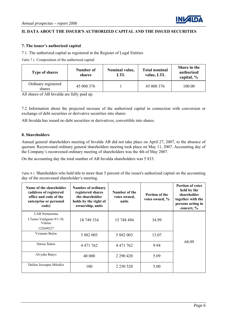

# <span id="page-5-0"></span>**II. DATA ABOUT THE ISSUER'S AUTHORIZED CAPITAL AND THE ISSUED SECURITIES**

#### **7. The issuer's authorized capital**

7.1. The authorized capital as registered in the Register of Legal Entities

Table 7.1. Composition of the authorized capital

| <b>Type of shares</b>         | Number of<br>shares | Nominal value,<br>LTL | <b>Total nominal</b><br>value, LTL | Share in the<br>authorized<br>capital, % |
|-------------------------------|---------------------|-----------------------|------------------------------------|------------------------------------------|
| Ordinary registered<br>shares | 45 008 376          |                       | 45 008 376                         | 100.00                                   |

All shares of AB Invalda are fully paid up.

7.2. Information about the projected increase of the authorized capital in connection with conversion or exchange of debt securities or derivative securities into shares

AB Invalda has issued no debt securities or derivatives, convertible into shares.

#### **8. Shareholders**

Annual general shareholders meeting of Invalda AB did not take place on April 27, 2007, to the absence of quorum. Reconvened ordinary general shareholders meeting took place on May 11, 2007. Accounting day of the Company's reconvened ordinary meeting of shareholders was the 4th of May 2007.

On the accounting day the total number of AB Invalda shareholders was 5 833.

Table 8.1. Shareholders who held title to more than 5 percent of the issuer's authorized capital on the accounting day of the reconvened shareholder's meeting.

| Name of the shareholder<br>(address of registered<br>office and code of the<br>enterprise or personal<br>code) | Number of ordinary<br>registered shares<br>the shareholder<br>holds by the right of<br>ownership, units | Number of the<br>votes owned,<br>units | Portion of the<br>votes owned, % | <b>Portion of votes</b><br>held by the<br>shareholder<br>together with the<br>persons acting in<br>concert, % |
|----------------------------------------------------------------------------------------------------------------|---------------------------------------------------------------------------------------------------------|----------------------------------------|----------------------------------|---------------------------------------------------------------------------------------------------------------|
| UAB Nenuorama<br>J.Tumo-Vaižganto 9/1-38,<br><b>Vilnius</b><br>122649227                                       | 18 749 334                                                                                              | 15 748 494                             | 34.99                            |                                                                                                               |
| Vytautas Bučas                                                                                                 | 5 882 003                                                                                               | 5 882 003                              | 13.07                            |                                                                                                               |
| Darius Šulnis                                                                                                  | 4 4 7 1 7 6 2                                                                                           | 4 4 7 1 7 6 2                          | 9.94                             | 68.09                                                                                                         |
| Alvydas Banys                                                                                                  | 40 000                                                                                                  | 2 290 420                              | 5.09                             |                                                                                                               |
| Dailius Juozapas Mišeikis                                                                                      | 100                                                                                                     | 2 2 5 0 5 2 0                          | 5.00                             |                                                                                                               |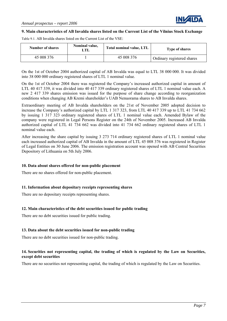

#### <span id="page-6-0"></span>**9. Main characteristics of AB Invalda shares listed on the Current List of the Vilnius Stock Exchange**

Table 9.1. AB Invalda shares listed on the Current List of the VSE:

| <b>Number of shares</b> | Nominal value,<br>TT. | Total nominal value, LTL | Type of shares             |
|-------------------------|-----------------------|--------------------------|----------------------------|
| 45 008 376              |                       | 45 008 376               | Ordinary registered shares |

On the 1st of October 2004 authorized capital of AB Invalda was equal to LTL 38 000 000. It was divided into 38 000 000 ordinary registered shares of LTL 1 nominal value.

On the 1st of October 2004 there was registered the Company's increased authorized capital in amount of LTL 40 417 339, it was divided into 40 417 339 ordinary registered shares of LTL 1 nominal value each. A new 2 417 339 shares emission was issued for the purpose of share change according to reorganization conditions when changing AB Kremi shareholder's UAB Nenuorama shares to AB Invalda shares.

Extraordinary meeting of AB Invalda shareholders on the 21st of November 2005 adopted decision to increase the Company's authorized capital by LTL 1 317 323, from LTL 40 417 339 up to LTL 41 734 662 by issuing 1 317 323 ordinary registered shares of LTL 1 nominal value each. Amended Bylaw of the company were registered in Legal Persons Register on the 24th of November 2005. Increased AB Invalda authorized capital of LTL 41 734 662 was divided into 41 734 662 ordinary registered shares of LTL 1 nominal value each.

After increasing the share capital by issuing 3 273 714 ordinary registered shares of LTL 1 nominal value each increased authorized capital of AB Invalda in the amount of LTL 45 008 376 was registered in Register of Legal Entities on 30 June 2006. The emission registration account was opened with AB Central Securities Depository of Lithuania on 5th July 2006.

#### **10. Data about shares offered for non-public placement**

There are no shares offered for non-public placement.

#### **11. Information about depositary receipts representing shares**

There are no depositary receipts representing shares.

## **12. Main characteristics of the debt securities issued for public trading**

There are no debt securities issued for public trading.

## **13. Data about the debt securities issued for non-public trading**

There are no debt securities issued for non-public trading.

## **14. Securities not representing capital, the trading of which is regulated by the Law on Securities, except debt securities**

There are no securities not representing capital, the trading of which is regulated by the Law on Securities.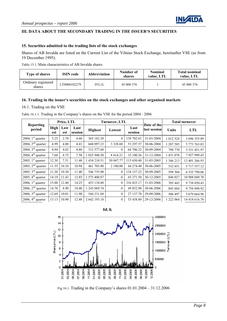

# <span id="page-7-0"></span>**III. DATA ABOUT THE SECONDARY TRADING IN THE ISSUER'S SECURITIES**

#### **15. Securities admitted to the trading lists of the stock exchanges**

Shares of AB Invalda are listed on the Current List of the Vilnius Stock Exchange, hereinafter VSE (as from 19 December 1995).

| <b>Type of shares</b>         | <b>ISIN</b> code | <b>Abbreviation</b> | Number of<br>shares | <b>Nominal</b><br>value. LTL | <b>Total nominal</b><br>value. LTL |
|-------------------------------|------------------|---------------------|---------------------|------------------------------|------------------------------------|
| Ordinary registered<br>shares | LT0000102279     | IVL1L               | 45 008 376          |                              | 45 008 376                         |

Table 15.1. Main characteristics of AB Invalda shares

#### **16. Trading in the issuer's securities on the stock exchanges and other organised markets**

16.1. Trading on the VSE

| <b>Reporting</b>                 | Price, LTL  |            | Turnover, LTL   |                | Date of the    |                 | <b>Total turnover</b> |              |               |
|----------------------------------|-------------|------------|-----------------|----------------|----------------|-----------------|-----------------------|--------------|---------------|
| period                           | High<br>est | Low<br>est | Last<br>session | <b>Highest</b> | Lowest         | Last<br>session | last session          | <b>Units</b> | <b>LTL</b>    |
| 2004, $1st$ quarter              | 5.25        | 2.70       | 4.60            | 365 182.38     | $\theta$       | 139 702.81      | 31-03-2004            | 1 012 524    | 3 696 355.09  |
| 2004, $2nd$ quarter              | 4.99        | 4.00       | 4.41            | 660 097.23     | 3 3 2 8 . 6 0  | 53 297.57       | 30-06-2004            | 1 287 585    | 5 773 763.03  |
| 2004, $3rd$ quarter              | 4.94        | 4.02       | 4.80            | 312 577.68     | $\theta$       | 64 706.32       | 30-09-2004            | 790 770      | 3 531 451.97  |
| 2004, $4th$ quarter              | 7.60        | 4.75       | 7.50            | 1 025 940.50   | 8 614.21       | 32 100.36       | 31-12-2004            | 1 431 078    | 7 927 999.45  |
| 2005, $1st$ quarter              | 12.30       | 7.51       | 11.40           | 434 210.51     | 30 047.77      | 115 650.40      | 31-03-2005            | 1 346 213    | 13 401 266.93 |
| 2005, $2nd$ quarter              | 11.55       | 10.10      | 10.94           | 461 703.80     | 2 180.00       | 44 274.40       | 30-06-2005            | 532 851      | 5 717 557.12  |
| 2005, $3rd$ quarter              | 11.20       | 10.30      | 11.40           | 546 755.00     | $\theta$       | 134 157.22      | 30-09-2005            | 599 304      | 6 535 790.06  |
| $2005$ , 4 <sup>th</sup> quarter | 14.19       | 11.43      | 13.85           | 575 400.87     | $\theta$       | 65 271.50       | 30-12-2005            | 848 027      | 10 908 049.70 |
| 2006, $1st$ quarter              | 15.00       | 12.40      | 14.25           | 453 134.88     | $\overline{0}$ | 316 825.17      | 31-03-2006            | 705 443      | 9738850.43    |
| 2006, $2nd$ quarter              | 14.70       | 8.90       | 10.40           | 245 069.74     | $\theta$       | 49 852.90       | 30-06-2006            | 845 884      | 9758890.92    |
| 2006, $3rd$ quarter              | 12.69       | 10.01      | 11.90           | 544 231.69     | $\theta$       | 27 137.70       | 29-09-2006            | 506 497      | 5 679 664.96  |
| 2006, $4th$ quarter              | 13.13       | 10.90      | 12.48           | 2 642 193.18   | $\mathbf{0}$   | 53 438.80       | 29-12-2006            | 1 222 064    | 14 418 616.76 |

Table 16.1.1. Trading in the Company's shares on the VSE for the period 2004 - 2006





Fig.16.1. Trading in the Company's shares 01.01.2004 – 31.12.2006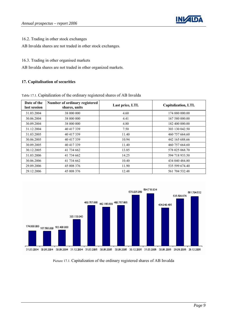

<span id="page-8-0"></span>16.2. Trading in other stock exchanges

AB Invalda shares are not traded in other stock exchanges.

16.3. Trading in other organised markets

AB Invalda shares are not traded in other organized markets.

# **17. Capitalisation of securities**

| Table 17.1. Capitalization of the ordinary registered shares of AB Invalda |
|----------------------------------------------------------------------------|
|----------------------------------------------------------------------------|

| Date of the<br>last session | Number of ordinary registered<br>shares, units | Last price, LTL | Capitalization, LTL |
|-----------------------------|------------------------------------------------|-----------------|---------------------|
| 31.03.2004                  | 38 000 000                                     | 4.60            | 174 880 000.00      |
| 30.06.2004                  | 38 000 000                                     | 4.41            | 167 580 000.00      |
| 30.09.2004                  | 38 000 000                                     | 4.80            | 182 400 000.00      |
| 31.12.2004                  | 40 417 339                                     | 7.50            | 303 130 042.50      |
| 31.03.2005                  | 40 417 339                                     | 11.40           | 460 757 664.60      |
| 30.06.2005                  | 40 417 339                                     | 10.94           | 442 165 688.66      |
| 30.09.2005                  | 40 417 339                                     | 11.40           | 460 757 664.60      |
| 30.12.2005                  | 41 734 662                                     | 13.85           | 578 025 068.70      |
| 31.03.2006                  | 41 734 662                                     | 14.25           | 594 718 933.50      |
| 30.06.2006                  | 41 734 662                                     | 10.40           | 434 040 484.80      |
| 29.09.2006                  | 45 008 376                                     | 11.90           | 535 599 674.40      |
| 29.12.2006                  | 45 008 376                                     | 12.48           | 561 704 532.48      |



Picture 17.1. Capitalization of the ordinary registered shares of AB Invalda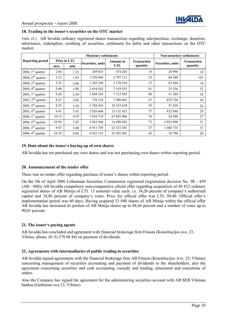

#### <span id="page-9-0"></span>**18. Trading in the issuer's securities on the OTC market**

Table 18.1. AB Invalda ordinary registered shares transactions regarding sale/purchase, exchange, donation, inheritance, redemption, crediting of securities, settlement for debts and other transactions on the OTC market.

|                               |       |              | <b>Monetary settlements</b> | <b>Non-monetary settlements</b> |                    |                           |                    |
|-------------------------------|-------|--------------|-----------------------------|---------------------------------|--------------------|---------------------------|--------------------|
| <b>Reporting period</b>       |       | Price in LTL | <b>Securities</b> , units   | <b>Amount</b> in                | <b>Transaction</b> | <b>Securities</b> , units | <b>Transaction</b> |
|                               | max   | min          |                             | LTL                             | quantity           |                           | quantity           |
| 2004, $1st$ quarter           | 2.64  | 1.23         | 269 015                     | 474 265                         | 10                 | 28 9 9 6                  | 18                 |
| 2004, $2nd$ quarter           | 3.22  | 1.03         | 1 558 896                   | 2 797 113                       | 25                 | 84 280                    | 107                |
| 2004, $3rd$ quarter           | 3.35  | 2.06         | 1 365 394                   | 3 170 539                       | 27                 | 83 688                    | 74                 |
| 2004, $4th$ quarter           | 5.00  | 1.00         | 2 654 542                   | 7 5 19 5 5 5                    | 41                 | 25 3 3 6                  | 32                 |
| 2005, $1st$ quarter           | 8.20  | 2.59         | 1688 164                    | 7712954                         | 80                 | 31 384                    | 38                 |
| 2005, $2nd$ quarter           | 8.27  | 3.60         | 739 124                     | 3 990 481                       | 47                 | 829 720                   | 30                 |
| 2005, $3^{\text{rd}}$ quarter | 8.25  | 3.50         | 1 784 424                   | 10 323 630                      | 55                 | 31 4 28                   | 26                 |
| 2005, $4th$ quarter           | 9.41  | 3.43         | 2 0 2 6 6 0 6               | 13 132 423                      | 77                 | 832 948                   | 29                 |
| 2006, $1st$ quarter           | 10.15 | 4.55         | 7 834 719                   | 67 893 406                      | 76                 | 24 5 8 0                  | 27                 |
| 2006, $2nd$ quarter           | 10.56 | 3.42         | 1 863 946                   | 14 490 682                      | 73                 | 2 022 908                 | 21                 |
| 2006, $3^{\text{rd}}$ quarter | 9.87  | 3.00         | 8 9 11 7 45                 | 62 533 381                      | 37                 | 1 460 735                 | 37                 |
| 2006, $4th$ quarter           | 10.70 | 0.82         | 6 9 3 3 3 1 5               | 35 903 401                      | 45                 | 18 790                    | 20                 |

#### **19. Data about the issuer's buying up of own shares**

AB Invalda has not purchased any own shares and was not purchasing own shares within reporting period.

#### **20. Announcement of the tender offer**

There was no tender offer regarding purchase of issuer's shares within reporting period.

On the 5th of April 2006 Lithuanian Securities Commission registered (registration decision No. 3R - 439 (AB - 488)) AB Invalda compulsory non-competetive oficial offer regarding acquisition of 49 822 ordinary registered shares of AB Minija of LTL 13 nominal value each, i.e. 34,26 percent of company's authorized capital and 34,86 percent of company's votes. Price for official offer was LTL 50,40. Official offer's implementation period was 60 days. Having acquired 33 040 shares of AB Minija within the official offer AB Invalda has increased its portion of AB Minija shares up to 88,46 percent and a number of votes up to 90,01 percent.

#### **21. The issuer's paying agents**

AB Invalda has concluded and agreement with financial brokerage firm Finasta (Konstitucijos ave. 23, Vilnius, phone.  $(8-5)$  278 68 44) on payment of dividends.

#### **22. Agreements with intermediaries of public trading in securities**

AB Invalda signed agreements with the financial brokerage firm AB Finasta (Konstitucijos Ave. 23, Vilnius) concerning management of securities accounting and payment of dividends to the shareholders, also the agreement concerning securities and cash accounting, custody and lending, placement and executions of orders.

Also the Company has signed the agreement for the administering securities account with AB SEB Vilniaus bankas (Gedimino ave.12, Vilnius)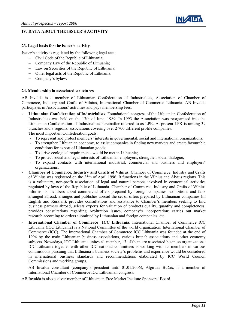

# <span id="page-10-0"></span>**IV. DATA ABOUT THE ISSUER'S ACTIVITY**

#### **23. Legal basis for the issuer's activity**

Issuer's activity is regulated by the following legal acts:

- − Civil Code of the Republic of Lithuania;
- − Company Law of the Republic of Lithuania;
- − Law on Securities of the Republic of Lithuania;
- − Other legal acts of the Republic of Lithuania;
- − Company's bylaw.

#### **24. Membership in associated structures**

AB Invalda is a member of Lithuanian Confederation of Industrialists, Association of Chamber of Commerce, Industry and Crafts of Vilnius, International Chamber of Commerce Lithuania. AB Invalda participates in Associations' activities and pays membership fees.

- **Lithuanian Confederation of Industrialists**. Foundational congress of the Lithuanian Confederation of Industrialists was held on the 17th of June. 1989. In 1993 the Association was reorganized into the Lithuanian Confederation of Industrialists hereinafter referred to as LPK. At present LPK is uniting 39 branches and 8 regional associations covering over 2 700 different profile companies. The most important Confederation goals:
	- To represent and protect members' interests in governmental, social and international organizations;
	- To strengthen Lithuanian economy, to assist companies in finding new markets and create favourable conditions for export of Lithuanian goods;
	- To strive ecological requirements would be met in Lithuania;
	- To protect social and legal interests of Lithuanian employers, strengthen social dialogue;
	- To expand contacts with international industrial, commercial and business and employers' organizations.
- **Chamber of Commerce, Industry and Crafts of Vilnius.** Chamber of Commerce, Industry and Crafts of Vilnius was registered on the 25th of April 1996. It functions in the Vilnius and Alytus regions. This is a voluntary, non-profit association of legal and natural persons involved in economical activities regulated by laws of the Republic of Lithuania. Chamber of Commerce, Industry and Crafts of Vilnius informs its members about commercial offers prepared by foreign companies, exhibitions and fairs arranged abroad; arranges and publishes abroad the set of offers prepared by Lithuanian companies (in English and Russian), provides consultations and assistance to Chamber's members seeking to find business partners abroad, selects experts for valuation of products quality, quantity and completeness; provides consultations regarding Arbitration issues, company's incorporation; carries out market research according to orders submitted by Lithuanian and foreign companies; etc.
- **International Chamber of Commerce ICC Lithuania.** International Chamber of Commerce ICC Lithuania (ICC Lithuania) is a National Committee of the world organization, International Chamber of Commerce (ICC). The International Chamber of Commerce ICC Lithuania was founded at the end of 1994 by the main Lithuanian business associations, various branch associations and other economy subjects. Nowadays, ICC Lithuania unites 41 member, 13 of them are associated business organizations. ICC Lithuania together with other ICC national committees is working with its members in various commissions pursuing that Lithuania's business society's problems and experience would be considered in international business standards and recommendations elaborated by ICC World Council Commissions and working groups.

AB Invalda consultant (company's president until 01.01.2006), Algirdas Bučas, is a member of International Chamber of Commerce ICC Lithuanian congress.

AB Invalda is also a silver member of Lithuanian Free Market Institute Sponsors' Board.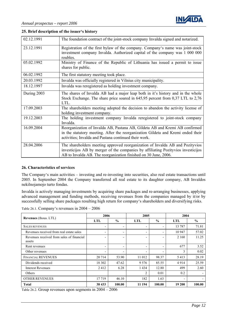

## <span id="page-11-0"></span>**25. Brief description of the issuer's history**

| 02.12.1991  | The foundation contract of the joint-stock company Invalda signed and notarized.                                                                                                                                                      |
|-------------|---------------------------------------------------------------------------------------------------------------------------------------------------------------------------------------------------------------------------------------|
| 23.12.1991  | Registration of the first bylaw of the company. Company's name was joint-stock<br>investment company Invalda. Authorized capital of the company was 1 000 000<br>roubles.                                                             |
| 05.02.1992  | Ministry of Finance of the Republic of Lithuania has issued a permit to issue<br>shares for public.                                                                                                                                   |
| 06.02.1992  | The first statutory meeting took place.                                                                                                                                                                                               |
| 20.03.1992  | Invalda was officially registered in Vilnius city municipality.                                                                                                                                                                       |
| 18.12.1997  | Invalda was reregistered as holding investment company.                                                                                                                                                                               |
| During 2003 | The shares of Invalda AB had a major leap both in it's history and in the whole<br>Stock Exchange. The share price soared in 645,95 percent from 0,37 LTL to 2,76<br>LTL.                                                             |
| 17.09.2003  | The shareholders meeting adopted the decision to abandon the activity license of<br>holding investment company.                                                                                                                       |
| 19.12.2003  | The holding investment company Invalda reregistered to joint-stock company<br>Invalda.                                                                                                                                                |
| 16.09.2004  | Reorganization of Invalda AB, Pastana AB, Gildeta AB and Kremi AB confirmed<br>in the statutory meeting. After the reorganization Gildeta and Kremi ended their<br>activities; Invalda and Pastana continued their work.              |
| 28.04.2006  | The shareholders meeting approved reorganization of Invalda AB and Pozityvios<br>investicijos AB by merger of the companies by affiliating Pozityvios investicijos<br>AB to Invalda AB. The reorganization finished on 30 June, 2006. |

#### **26. Characteristics of services**

The Company's main activities – investing and re-investing into securities, also real estate transactions until 2005. In September 2004 the Company transferred all real estate to its daughter company, AB Invaldos nekilnojamojo turto fondas.

Invalda is actively managing investments by acquiring share packages and re-arranging businesses, applying advanced management and funding methods, receiving revenues from the companies managed by it/or by successfully selling share packages resulting high return for company's shareholders and diversifying risks.

Table 26.1. Company's revenues in 2004 – 2006

|                                                     | 2006                     |                          | 2005                     |                          | 2004           |               |
|-----------------------------------------------------|--------------------------|--------------------------|--------------------------|--------------------------|----------------|---------------|
| <b>Revenues</b> (thous. LTL)                        | LTL                      | $\frac{0}{0}$            | LTL                      | $\frac{0}{0}$            | LTL            | $\frac{0}{0}$ |
| <b>SALES REVENUES</b>                               | $\overline{\phantom{a}}$ |                          |                          |                          | 13 787         | 71.81         |
| Revenues received from real estate sales            | ٠                        | -                        | $\blacksquare$           | -                        | 10 947         | 57.02         |
| Revenues received from sales of financial<br>assets | $\overline{\phantom{0}}$ | -                        | $\overline{\phantom{0}}$ | -                        | 2 1 6 0        | 11.25         |
| Rent revenues                                       | $\overline{\phantom{a}}$ | ٠                        | $\overline{\phantom{0}}$ | ٠                        | 677            | 3.52          |
| Other revenues                                      | -                        | $\overline{\phantom{0}}$ |                          | $\overline{\phantom{0}}$ | 3              | 0.02          |
| <b>FINANCIAL REVENUES</b>                           | 20 7 14                  | 53.90                    | 11 012                   | 98.37                    | 5413           | 28.19         |
| Dividends received                                  | 18 302                   | 47.62                    | 9 5 7 6                  | 85.55                    | 4914           | 25.59         |
| Interest Revenues                                   | 2412                     | 6.28                     | 1434                     | 12.80                    | 499            | 2.60          |
| Others                                              |                          |                          | $\overline{c}$           | 0.01                     | 0.2            |               |
| <b>OTHER REVENUES</b>                               | 17719                    | 46.10                    | 182                      | 1.63                     | $\blacksquare$ |               |
| <b>Total</b>                                        | 38 433                   | 100.00                   | 11 194                   | 100.00                   | 19 200         | 100.00        |

Table 26.2. Group revenues upon segments in 2004 – 2006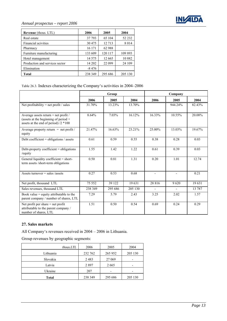# **INVAIDA**

# <span id="page-12-0"></span>*Annual prospectus – report 2006*

| <b>Revenue</b> (thous. LTL)    | 2006     | 2005    | 2004    |
|--------------------------------|----------|---------|---------|
| Real estate                    | 37 793   | 65 104  | 52 232  |
| Financial acivities            | 30 4 75  | 12 7 13 | 8014    |
| Pharmacy                       | 16 171   | 62 988  |         |
| Furniture manufacturing        | 133 609  | 120 117 | 109 893 |
| Hotel management               | 14 5 7 5 | 12 6 65 | 10882   |
| Production and services sector | 14 202   | 22 099  | 24 109  |
| Elimination                    | $-8476$  |         |         |
| Total                          | 238 349  | 295 686 | 205 130 |

#### Table 26.3. Indexes characterizing the Company's activities in 2004–2006

|                                                                                                                        | Group   |         |         | Company        |                |        |
|------------------------------------------------------------------------------------------------------------------------|---------|---------|---------|----------------|----------------|--------|
|                                                                                                                        | 2006    | 2005    | 2004    | 2006           | 2005           | 2004   |
| Net profitability = net profit / sales                                                                                 | 31.70%  | 13.23%  | 13.70%  |                | 944.24%        | 82.43% |
| Average assets return = net profit /<br>(assets at the beginning of period $+$<br>assets at the end of period) /2 *100 | 8.64%   | 7.03%   | 16.12%  | 16.33%         | 10.55%         | 20.08% |
| Average property return = net profit /<br>equity                                                                       | 21.47%  | 16.63%  | 23.21%  | 25.00%         | 13.03%         | 19.67% |
| Debt coefficient = obligations / assets                                                                                | 0.61    | 0.59    | 0.55    | 0.38           | 0.28           | 0.03   |
| Debt-property coefficient $=$ obligations<br>/equity                                                                   | 1.55    | 1.42    | 1.22    | 0.61           | 0.39           | 0.03   |
| General liquidity coefficient = short-<br>term assets /short-term obligations                                          | 0.50    | 0.81    | 1.31    | 0.20           | 1.01           | 12.74  |
| Assets turnover $=$ sales /assets                                                                                      | 0.27    | 0.53    | 0.68    |                | $\blacksquare$ | 0.21   |
| Net profit, thousand LTL                                                                                               | 75 552  | 39 122  | 19631   | 28 8 16        | 9620           | 19631  |
| Sales revenues, thousand LTL                                                                                           | 238 349 | 295 686 | 205 130 | $\blacksquare$ | $\blacksquare$ | 13 787 |
| Book value $=$ equity attributable to the<br>parent company / number of shares, LTL                                    | 7.29    | 5.79    | 2.43    | 3.25           | 2.02           | 1.57   |
| Net profit per share $=$ net profit<br>attributable to the parent company /<br>number of shares, LTL                   | 1.51    | 0.50    | 0.54    | 0.69           | 0.24           | 0.29   |

# **27. Sales markets**

All Company's revenues received in 2004 – 2006 in Lithuania.

Group revenues by geographic segments:

| thous.LTL    | 2006    | 2005                     | 2004                     |
|--------------|---------|--------------------------|--------------------------|
| Lithuania    | 232 762 | 265 952                  | 205 130                  |
| Slovakia     | 2483    | 27 069                   |                          |
| Latvia       | 2897    | 2665                     | $\overline{\phantom{0}}$ |
| Ukraine      | 207     | $\overline{\phantom{0}}$ | $\overline{\phantom{0}}$ |
| <b>Total</b> | 238 349 | 295 686                  | 205 130                  |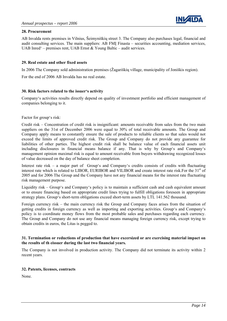

#### <span id="page-13-0"></span>**28. Procurement**

AB Invalda rents premises in Vilnius, Šeimyniškių street 3. The Company also purchases legal, financial and audit consulting services. The main suppliers: AB FMĮ Finasta – securities accounting, mediation services, UAB Inred' – premises rent, UAB Ernst & Young Baltic – audit services.

#### **29. Real estate and other fixed assets**

In 2006 The Company sold administration premises (Žagariškių village, municipality of Joniškis region).

For the end of 2006 AB Invalda has no real estate.

#### **30. Risk factors related to the issuer's activity**

Company's activities results directly depend on quality of investment portfolio and efficient management of companies belonging to it.

Factor for group's risk:

Credit risk – Concentration of credit risk is insignificant: amounts receivable from sales from the two main suppliers on the 31st of December 2006 were equal to 30% of total receivable amounts. The Group and Company apply means to constantly ensure the sale of products to reliable clients so that sales would not exceed the limits of approved credit risk. The Group and Company do not provide any guarantee for liabilities of other parties. The highest credit risk shall be balance value of each financial assets unit including disclosures in financial means balance if any. That is why by Group's and Company's management opinion maximal risk is equal to amount receivable from buyers withdrawing recognized losses of value decreased on the day of balance sheet completion.

Interest rate risk – a major part of Group's and Company's credits consists of credits with fluctuating interest rate which is related to LIBOR, EURIBOR and VILIBOR and create interest rate risk. For the 31<sup>st</sup> of 2005 and for 2006 The Group and the Company have not any financial means for the interest rate fluctuating risk management purpose.

Liquidity risk – Group's and Company's policy is to maintain a sufficient cash and cash equivalent amount or to ensure financing based on appropriate credit lines trying to fulfill obligations foreseen in appropriate strategy plans. Group's short-term obligations exceed short-term assets by LTL 141.562 thousand.

Foreign currency risk – the main currency risk the Group and Company faces arises from the situation of getting credits in foreign currency as well as importing and exporting activities. Group's and Company's policy is to coordinate money flows from the most probable sales and purchases regarding each currency. The Group and Company do not use any financial means managing foreign currency risk, except trying to obtain credits in euros, the Litas is pegged to.

#### **31. Termination or reductions of production that have excersized or are exercising material impact on the results of th eissuer during the last two financial years.**

The Company is not involved in production activity. The Company did not terminate its activity within 2 recent years.

#### **32. Patents, licenses, contracts**

None.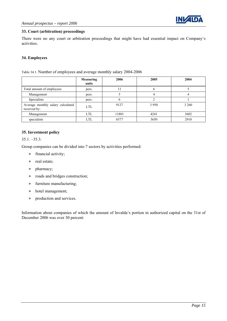

#### <span id="page-14-0"></span>**33. Court (arbitration) proceedings**

There were no any court or arbitration proceedings that might have had essential impact on Company's activities.

#### **34. Employees**

|                                                   | <b>Measuring</b><br>units | 2006         | 2005         | 2004    |
|---------------------------------------------------|---------------------------|--------------|--------------|---------|
| Total amount of employees                         | pers.                     | 11           | <sub>0</sub> |         |
| Management                                        | pers.                     |              | 4            | 4       |
| Specialists                                       | pers.                     | <sub>0</sub> |              |         |
| Average monthly salary calculated<br>received by: | LTL                       | 9127         | 3 9 5 0      | 3 2 6 0 |
| Management                                        | <b>LTL</b>                | 11801        | 4241         | 3602    |
| specialists                                       | <b>LTL</b>                | 6577         | 3650         | 2910    |

### Table 34.1. Number of employees and average monthly salary 2004-2006

#### **35. Investment policy**

35.1. –35.3.

Group companies can be divided into 7 sectors by activities performed:

- » financial activity;
- » real estate;
- » pharmacy;
- » roads and bridges construction;
- » furniture manufacturing;
- » hotel management;
- » production and services.

Information about companies of which the amount of Invalda's portion in authorized capital on the 31st of December 2006 was over 30 percent: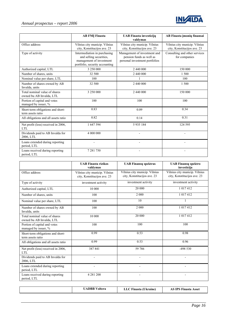

|                                                           | <b>AB FMI Finasta</b>                                                                                                 | <b>UAB Finasta investiciju</b>                                                             | AB Finasta imoniu finansai                                   |
|-----------------------------------------------------------|-----------------------------------------------------------------------------------------------------------------------|--------------------------------------------------------------------------------------------|--------------------------------------------------------------|
|                                                           |                                                                                                                       | valdymas                                                                                   |                                                              |
| Office address                                            | Vilnius city municip. Vilnius<br>city, Konstitucijos ave. 23                                                          | Vilnius city municip. Vilnius<br>city, Konstitucijos ave. 23                               | Vilnius city municip. Vilnius<br>city, Konstitucijos ave. 23 |
| Type of activity                                          | Intermediation in purchasing<br>and selling securities,<br>management of investment<br>portfolio, security accounting | Management of investment and<br>pension funds as well as<br>personal investment portfolios | Consulting and other services<br>for companies               |
| Authorized capital, LTL                                   | 3 250 000                                                                                                             | 2 440 000                                                                                  | 150 000                                                      |
| Number of shares, units                                   | 32 500                                                                                                                | 2 440 000                                                                                  | 1 500                                                        |
| Nominal value per share, LTL                              | 100                                                                                                                   |                                                                                            | 100                                                          |
| Number of shares owned by AB<br>Invalda, units            | 32 500                                                                                                                | 2 440 000                                                                                  | 1 500                                                        |
| Total nominal value of shares<br>owned bu AB Invalda, LTL | 3 250 000                                                                                                             | 2 440 000                                                                                  | 150 000                                                      |
| Portion of capital and votes<br>managed by issuer, %      | 100                                                                                                                   | 100                                                                                        | 100                                                          |
| Short-term obligations and short-<br>term assets ratio    | 0.83                                                                                                                  | 0.09                                                                                       | 0.34                                                         |
| All obligations and all assets ratio                      | 0.82                                                                                                                  | 0.14                                                                                       | 0.31                                                         |
| Net profit (loss) received in 2006,<br><b>LTL</b>         | 1 647 594                                                                                                             | 5 9 3 5 1 8 4                                                                              | 124 595                                                      |
| Dividends paid to AB Invalda for<br>2006, LTL             | 4 000 000                                                                                                             |                                                                                            |                                                              |
| Loans extended during reporting<br>period, LTL            |                                                                                                                       |                                                                                            |                                                              |
| Loans received during reporting<br>period, LTL            | 7 281 750                                                                                                             |                                                                                            |                                                              |

|                                                           | <b>UAB Finasta rizikos</b><br>valdymas                       | <b>UAB Finansų spektras</b>                                  | <b>UAB Finansy spektro</b><br>investicija                    |
|-----------------------------------------------------------|--------------------------------------------------------------|--------------------------------------------------------------|--------------------------------------------------------------|
| Office address                                            | Vilnius city municip. Vilnius<br>city, Konstitucijos ave. 23 | Vilnius city municip. Vilnius<br>city, Konstitucijos ave. 23 | Vilnius city municip. Vilnius<br>city, Konstitucijos ave. 23 |
| Type of activity                                          | investment activity                                          | investment activity                                          | investment activity                                          |
| Authorized capital, LTL                                   | 10 000                                                       | 20 000                                                       | 1017412                                                      |
| Number of shares, units                                   | 100                                                          | 2 000                                                        | 1 017 412                                                    |
| Nominal value per share, LTL                              | 100                                                          | 10                                                           |                                                              |
| Number of shares owned by AB<br>Invalda, units            | 100                                                          | 2 0 0 0                                                      | 1 017 412                                                    |
| Total nominal value of shares<br>owned bu AB Invalda, LTL | 10 000                                                       | 20 000                                                       | 1 017 412                                                    |
| Portion of capital and votes<br>managed by issuer, %      | 100                                                          | 100                                                          | 100                                                          |
| Short-term obligations and short-<br>term assets ratio    | 0.99                                                         | 0.53                                                         | 0.98                                                         |
| All obligations and all assets ratio                      | 0.99                                                         | 0.53                                                         | 0.96                                                         |
| Net profit (loss) received in 2006,<br><b>LTL</b>         | 387841                                                       | 59786                                                        | $-498530$                                                    |
| Dividends paid to AB Invalda for<br>2006, LTL             |                                                              |                                                              |                                                              |
| Loans extended during reporting<br>period, LTL            |                                                              |                                                              |                                                              |
| Loans received during reporting<br>period, LTL            | 4 281 200                                                    | $\overline{\phantom{a}}$                                     | ۰                                                            |

| <b>UADBB</b><br>Voltera | $\sim$ $\sim$<br><b>Finasta (Ukraine)</b><br>LLC. | <b>AS IPS Finasta Asset</b> |
|-------------------------|---------------------------------------------------|-----------------------------|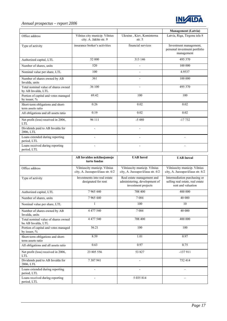

|                                                           |                                                         |                                       | <b>Management</b> (Latvia)                                            |
|-----------------------------------------------------------|---------------------------------------------------------|---------------------------------------|-----------------------------------------------------------------------|
| Office address                                            | Vilnius city municip. Vilnius<br>city. A. Jakšto str. 9 | Ukraine, Kiev, Kominterna<br>str. $5$ | Latvia, Riga, Tirgonu iela 8                                          |
| Type of activity                                          | insurance broker's activities                           | financial services                    | Investment management,<br>personal investment portfolio<br>management |
| Authorized capital, LTL                                   | 52 000                                                  | 313 146                               | 495 370                                                               |
| Number of shares, units                                   | 520                                                     |                                       | 100 000                                                               |
| Nominal value per share, LTL                              | 100                                                     | $\overline{\phantom{a}}$              | 4.9537                                                                |
| Number of shares owned by AB<br>Invalda, units            | 361                                                     | $\blacksquare$                        | 100 000                                                               |
| Total nominal value of shares owned<br>by AB Invalda, LTL | 36 100                                                  | $\blacksquare$                        | 495 370                                                               |
| Portion of capital and votes managed<br>by issuer, %      | 69.42                                                   | 100                                   | 100                                                                   |
| Short-term obligations and short-<br>term assets ratio    | 0.26                                                    | 0.02                                  | 0.02                                                                  |
| All obligations and all assets ratio                      | 0.19                                                    | 0.02                                  | 0.02                                                                  |
| Net profit (loss) received in 2006,<br><b>LTL</b>         | 96 111                                                  | $-5480$                               | $-17732$                                                              |
| Dividends paid to AB Invalda for<br>2006, LTL             | $\blacksquare$                                          | $\blacksquare$                        |                                                                       |
| Loans extended during reporting<br>period, LTL            |                                                         |                                       |                                                                       |
| Loans received during reporting<br>period, LTL            |                                                         |                                       |                                                                       |

|                                                           | AB Invaldos nekilnojamojo<br>turto fondas                        | <b>UAB</b> Inred                                                                   | <b>UAB</b> Inreal                                                                      |
|-----------------------------------------------------------|------------------------------------------------------------------|------------------------------------------------------------------------------------|----------------------------------------------------------------------------------------|
| Office address                                            | Vilniuscity municip. Vilnius<br>city, A. Juozapavičiaus str. 6/2 | Vilniuscity municip. Vilnius<br>city, A. Juozapavičiaus str. 6/2                   | Vilniuscity municip. Vilnius<br>city, A. Juozapavičiaus str. 6/2                       |
| Type of activity                                          | Investments into real estate<br>designated for rent              | Real estate management and<br>administering, development of<br>investment projects | Intermediation purchasing or<br>selling real estate, real estate<br>rent and valuation |
| Authorized capital, LTL                                   | 7 965 440                                                        | 708 400                                                                            | 400 000                                                                                |
| Number of shares, units                                   | 7 965 440                                                        | 7084                                                                               | 40 000                                                                                 |
| Nominal value per share, LTL                              |                                                                  | 100                                                                                | 10                                                                                     |
| Number of shares owned by AB<br>Invalda, units            | 4 477 540                                                        | 7084                                                                               | 40 000                                                                                 |
| Total nominal value of shares owned<br>bu AB Invalda, LTL | 4 477 540                                                        | 708 400                                                                            | 400 000                                                                                |
| Portion of capital and votes managed<br>by issuer, %      | 56.21                                                            | 100                                                                                | 100                                                                                    |
| Short-term obligations and short-<br>term assets ratio    | 8.59                                                             | 1.01                                                                               | 0.97                                                                                   |
| All obligations and all assets ratio                      | 0.63                                                             | 0.97                                                                               | 0.75                                                                                   |
| Net profit (loss) received in 2006,<br>LTL                | 23 805 556                                                       | 53 827                                                                             | $-137911$                                                                              |
| Dividends paid to AB Invalda for<br>2006, LTL             | 7 3 8 7 9 4 1                                                    |                                                                                    | 752 414                                                                                |
| Loans extended during reporting<br>period, LTL            |                                                                  |                                                                                    |                                                                                        |
| Loans received during reporting<br>period, LTL            |                                                                  | 5 0 3 5 8 1 4                                                                      |                                                                                        |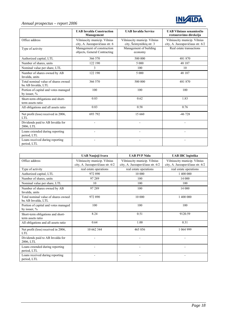

# *Annual prospectus – report 2006*

|                                                           | <b>UAB Invalda Construction</b><br>Management                  | <b>UAB Invalda Service</b>                               | <b>UAB Vilniaus senamiesčio</b><br>restauravimo direkcija        |
|-----------------------------------------------------------|----------------------------------------------------------------|----------------------------------------------------------|------------------------------------------------------------------|
| Office address                                            | Vilniuscity municip. Vilnius<br>city, A. Juozapavičiaus str. 6 | Vilniuscity municip. Vilnius<br>city, Šeimyniškių str. 3 | Vilniuscity municip. Vilnius<br>city, A. Juozapavičiaus str. 6/2 |
| Type of activity                                          | Management of construction<br>objects, General Contracting     | Management of building<br>economy                        | Real estate transactions                                         |
| Authorized capital, LTL                                   | 366 570                                                        | 500 000                                                  | 481 870                                                          |
| Number of shares, units                                   | 122 190                                                        | 5 000                                                    | 48 187                                                           |
| Nominal value per share, LTL                              | 3                                                              | 100                                                      | 10                                                               |
| Number of shares owned by AB<br>Invalda, units            | 122 190                                                        | 5 0 0 0                                                  | 48 187                                                           |
| Total nominal value of shares owned<br>bu AB Invalda, LTL | 366 570                                                        | 500 000                                                  | 481 870                                                          |
| Portion of capital and votes managed<br>by issuer, $%$    | 100                                                            | 100                                                      | 100                                                              |
| Short-term obligations and short-<br>term assets ratio    | 0.83                                                           | 0.62                                                     | 1.83                                                             |
| All obligations and all assets ratio                      | 0.83                                                           | 0.58                                                     | 0.76                                                             |
| Net profit (loss) received in 2006,<br>LTL                | 693 792                                                        | 15 660                                                   | $-46728$                                                         |
| Dividends paid to AB Invalda for<br>2006, LTL             |                                                                |                                                          |                                                                  |
| Loans extended during reporting<br>period, LTL            |                                                                |                                                          |                                                                  |
| Loans received during reporting<br>period, LTL            |                                                                |                                                          |                                                                  |

|                                                           | UAB Naujoji švara                                                | <b>UAB PVP Nida</b>                                              | <b>UAB IBC</b> logistika                                         |
|-----------------------------------------------------------|------------------------------------------------------------------|------------------------------------------------------------------|------------------------------------------------------------------|
| Office address                                            | Vilniuscity municip. Vilnius<br>city, A. Juozapavičiaus str. 6/2 | Vilniuscity municip. Vilnius<br>city, A. Juozapavičiaus str. 6/2 | Vilniuscity municip. Vilnius<br>city, A. Juozapavičiaus str. 6/2 |
| Type of activity                                          | real estate operations                                           | real estate operations                                           | real estate operations                                           |
| Authorized capital, LTL                                   | 972 890                                                          | 10 000                                                           | 1 400 000                                                        |
| Number of shares, units                                   | 97 289                                                           | 100                                                              | 14 000                                                           |
| Nominal value per share, LTL                              | 10                                                               | 100                                                              | 100                                                              |
| Number of shares owned by AB<br>Invalda, units            | 97 289                                                           | 100                                                              | 14 000                                                           |
| Total nominal value of shares owned<br>bu AB Invalda, LTL | 972 890                                                          | 10 000                                                           | 1 400 000                                                        |
| Portion of capital and votes managed<br>by issuer, $%$    | 100                                                              | 100                                                              | 100                                                              |
| Short-term obligations and short-<br>term assets ratio    | 8.24                                                             | 0.51                                                             | 9120.59                                                          |
| All obligations and all assets ratio                      | 0.64                                                             | 1.00                                                             | 0.31                                                             |
| Net profit (loss) received in 2006,<br><b>LTL</b>         | 10 662 344                                                       | 465 856                                                          | 1 064 999                                                        |
| Dividends paid to AB Invalda for<br>2006, LTL             |                                                                  |                                                                  |                                                                  |
| Loans extended during reporting<br>period, LTL            |                                                                  |                                                                  |                                                                  |
| Loans received during reporting<br>period, LTL            | $\overline{\phantom{a}}$                                         |                                                                  |                                                                  |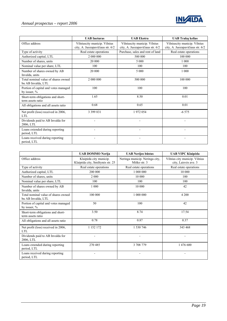

|                                                           | <b>UAB</b> Ineturas                                              | <b>UAB Ekotra</b>                                                | <b>UAB Traky kelias</b>                                          |
|-----------------------------------------------------------|------------------------------------------------------------------|------------------------------------------------------------------|------------------------------------------------------------------|
| Office address                                            | Vilniuscity municip. Vilnius<br>city, A. Juozapavičiaus str. 6/2 | Vilniuscity municip. Vilnius<br>city, A. Juozapavičiaus str. 6/2 | Vilniuscity municip. Vilnius<br>city, A. Juozapavičiaus str. 6/2 |
| Type of activity                                          | Real estate operations                                           | Purchase, sales and rent of land                                 | Real estate operations                                           |
| Authorized capital, LTL                                   | 2 000 000                                                        | 500 000                                                          | 100 000                                                          |
| Number of shares, units                                   | 20 000                                                           | 5 0 0 0                                                          | 1 0 0 0                                                          |
| Nominal value per share, LTL                              | 100                                                              | 100                                                              | 100                                                              |
| Number of shares owned by AB<br>Invalda, units            | 20 000                                                           | 5 0 0 0                                                          | 1 000                                                            |
| Total nominal value of shares owned<br>bu AB Invalda, LTL | 2 000 000                                                        | 500 000                                                          | 100 000                                                          |
| Portion of capital and votes managed<br>by issuer, %      | 100                                                              | 100                                                              | 100                                                              |
| Short-term obligations and short-<br>term assets ratio    | 1.65                                                             | 8.50                                                             | 0.01                                                             |
| All obligations and all assets ratio                      | 0.68                                                             | 0.65                                                             | 0.01                                                             |
| Net profit (loss) received in 2006,<br>LTL.               | 3 399 831                                                        | 1972054                                                          | $-6575$                                                          |
| Dividends paid to AB Invalda for<br>2006, LTL             |                                                                  |                                                                  |                                                                  |
| Loans extended during reporting<br>period, LTL            |                                                                  |                                                                  |                                                                  |
| Loans received during reporting<br>period, LTL            |                                                                  |                                                                  |                                                                  |

|                                                           | <b>UAB DOMMO Nerija</b>                                    | <b>UAB Nerijos būstas</b>                      | <b>UAB VIPC Klaipėda</b>                              |
|-----------------------------------------------------------|------------------------------------------------------------|------------------------------------------------|-------------------------------------------------------|
| Office address                                            | Klaipėda city municip.<br>Klaipėda city, Smiltynės str. 25 | Neringa municip. Neringa city,<br>Miško str. 3 | Vilnius city municip. Vilnius<br>city, Laisvės ave. 3 |
| Type of activity                                          | Real estate operations                                     | Real estate operations                         | Real estate operations                                |
| Authorized capital, LTL                                   | 200 000                                                    | 1 000 000                                      | 10 000                                                |
| Number of shares, units                                   | 2 0 0 0                                                    | 10 000                                         | 100                                                   |
| Nominal value per share, LTL                              | 100                                                        | 100                                            | 100                                                   |
| Number of shares owned by AB<br>Invalda, units            | 1 0 0 0                                                    | 10 000                                         | 42                                                    |
| Total nominal value of shares owned<br>bu AB Invalda, LTL | 100 000                                                    | 1 000 000                                      | 4 200                                                 |
| Portion of capital and votes managed<br>by issuer, $%$    | 50                                                         | 100                                            | 42                                                    |
| Short-term obligations and short-<br>term assets ratio    | 3.50                                                       | 8.74                                           | 17.54                                                 |
| All obligations and all assets ratio                      | 0.78                                                       | 0.87                                           | 0.37                                                  |
| Net profit (loss) received in 2006,<br><b>LTL</b>         | 1 152 172                                                  | 1 530 746                                      | 343 468                                               |
| Dividends paid to AB Invalda for<br>2006, LTL             |                                                            |                                                |                                                       |
| Loans extended during reporting<br>period, LTL            | 270 485                                                    | 3708779                                        | 1 476 600                                             |
| Loans received during reporting<br>period, LTL            | $\overline{\phantom{a}}$                                   |                                                |                                                       |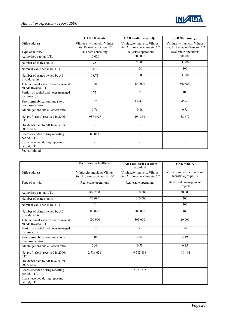

|                                                                 | <b>UAB Aikstentis</b>                                        | <b>UAB Saulės investicija</b>                                    | <b>UAB</b> Šimtamargis                                           |
|-----------------------------------------------------------------|--------------------------------------------------------------|------------------------------------------------------------------|------------------------------------------------------------------|
| Office address                                                  | Vilnius city municip. Vilnius<br>city, Konstitucijos ave. 17 | Vilniuscity municip. Vilnius<br>city, A. Juozapavičiaus str. 6/2 | Vilniuscity municip. Vilnius<br>city, A. Juozapavičiaus str. 6/2 |
| Type of activity                                                | <b>Business consulting</b>                                   | Real estate operations                                           | Real estate operations                                           |
| Authorized capital, LTL                                         | 10 000                                                       | 200 000                                                          | 300 000                                                          |
| Number of shares, units                                         | 25                                                           | 2 0 0 0                                                          | 3 0 0 0                                                          |
| Nominal value per share, LTL                                    | 400                                                          | 100                                                              | 100                                                              |
| Number of shares owned by AB<br>Invalda, units                  | 18,75                                                        | 1500                                                             | 3 000                                                            |
| Total nominal value of shares owned<br>bu AB Invalda, LTL       | 7 500                                                        | 150 000                                                          | 300 000                                                          |
| Portion of capital and votes managed<br>by issuer, %            | 75                                                           | 75                                                               | 100                                                              |
| Short-term obligations and short-<br>term assets ratio          | 18.90                                                        | 1374.86                                                          | 45.63                                                            |
| All obligations and all assets ratio                            | 0.76                                                         | 0.86                                                             | 0.73                                                             |
| Net profit (loss) received in 2006,<br><b>LTL</b>               | $-937692*$                                                   | 194 331                                                          | 58 677                                                           |
| Dividends paid to AB Invalda for<br>2006, LTL                   |                                                              | $\blacksquare$                                                   | $\blacksquare$                                                   |
| Loans extended during reporting<br>period, LTL                  | 80 061                                                       |                                                                  | ۰                                                                |
| Loans received during reporting<br>period, LTL<br>$\Phi$ 11.1 1 |                                                              |                                                                  |                                                                  |

\*consolidated

|                                                           | <b>UAB Dizaino institutas</b>                                    | <b>UAB Laikinosios sostinės</b><br>projektai                     | <b>UAB MBGK</b>                                      |
|-----------------------------------------------------------|------------------------------------------------------------------|------------------------------------------------------------------|------------------------------------------------------|
| Office address                                            | Vilniuscity municip. Vilnius<br>city, A. Juozapavičiaus str. 6/2 | Vilniuscity municip. Vilnius<br>city, A. Juozapavičiaus str. 6/2 | Vilniaus m. sav. Vilniaus m.<br>Konstitucijos pr. 23 |
| Type of activity                                          | Real estate operations                                           | Real estate operations                                           | Real estate management<br>projects                   |
| Authorized capital, LTL                                   | 800 900                                                          | 1 010 000                                                        | 20 000                                               |
| Number of shares, units                                   | 80 090                                                           | 1 0 1 0 0 0 0                                                    | 200                                                  |
| Nominal value per share, LTL                              | 10                                                               | 1                                                                | 100                                                  |
| Number of shares owned by AB<br>Invalda, units            | 80 090                                                           | 505 000                                                          | 100                                                  |
| Total nominal value of shares owned<br>bu AB Invalda, LTL | 800 900                                                          | 505 000                                                          | 10 000                                               |
| Portion of capital and votes managed<br>by issuer, %      | 100                                                              | 50                                                               | 50                                                   |
| Short-term obligations and short-<br>term assets ratio    | 0.04                                                             | 2.04                                                             | 4.49                                                 |
| All obligations and all assets ratio                      | 0.39                                                             | 0.78                                                             | 0.45                                                 |
| Net profit (loss) received in 2006,<br>LTL.               | 2 786 621                                                        | 9582888                                                          | $-10164$                                             |
| Dividends paid to AB Invalda for<br>2006, LTL             | ۳                                                                | $\blacksquare$                                                   | $\blacksquare$                                       |
| Loans extended during reporting<br>period, LTL            |                                                                  | 2 2 2 1 7 1 5                                                    |                                                      |
| Loans received during reporting<br>period, LTL            |                                                                  |                                                                  |                                                      |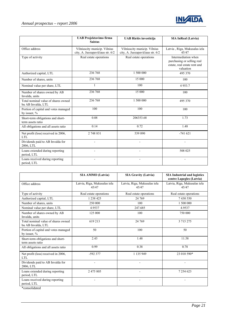

|                                                           | <b>UAB Projektavimo firma</b><br><b>Saistas</b>                  | <b>UAB Riešės investicija</b>                                    | <b>SIA InReal (Latvia)</b>                                                                     |
|-----------------------------------------------------------|------------------------------------------------------------------|------------------------------------------------------------------|------------------------------------------------------------------------------------------------|
| Office address                                            | Vilniuscity municip. Vilnius<br>city, A. Juozapavičiaus str. 6/2 | Vilniuscity municip. Vilnius<br>city, A. Juozapavičiaus str. 6/2 | Latvia, Riga, Mukusalas iela<br>45/47                                                          |
| Type of activity                                          | Real estate operations                                           | Real estate operations                                           | Intermediation when<br>purchasing or selling real<br>estate, real estate rent and<br>valuation |
| Authorized capital, LTL                                   | 236 768                                                          | 1 500 000                                                        | 495 370                                                                                        |
| Number of shares, units                                   | 236 768                                                          | 15 000                                                           | 100                                                                                            |
| Nominal value per share, LTL                              | 1                                                                | 100                                                              | 4953.7                                                                                         |
| Number of shares owned by AB<br>Invalda, units            | 236 768                                                          | 15 000                                                           | 100                                                                                            |
| Total nominal value of shares owned<br>bu AB Invalda, LTL | 236 768                                                          | 1 500 000                                                        | 495 370                                                                                        |
| Portion of capital and votes managed<br>by issuer, %      | 100                                                              | 100                                                              | 100                                                                                            |
| Short-term obligations and short-<br>term assets ratio    | 0.08                                                             | 206353.68                                                        | 1.73                                                                                           |
| All obligations and all assets ratio                      | 0.14                                                             | 0.72                                                             | 1.48                                                                                           |
| Net profit (loss) received in 2006,<br>LTL.               | 2 748 831                                                        | 539 890                                                          | $-741621$                                                                                      |
| Dividends paid to AB Invalda for<br>2006, LTL             |                                                                  |                                                                  |                                                                                                |
| Loans extended during reporting<br>period, LTL            |                                                                  |                                                                  | 508 025                                                                                        |
| Loans received during reporting<br>period, LTL            |                                                                  |                                                                  |                                                                                                |

|                                                                    | <b>SIA AMMO</b> (Latvia)              | <b>SIA Gravity (Latvia)</b>           | <b>SIA Industrial and logistics</b><br>centre Lapegles (Latvia) |
|--------------------------------------------------------------------|---------------------------------------|---------------------------------------|-----------------------------------------------------------------|
| Office address                                                     | Latvia, Riga, Mukusalas iela<br>45/47 | Latvia, Riga, Mukusalas iela<br>45/47 | Latvia, Riga, Mukusalas iela<br>45/47                           |
| Type of activity                                                   | Real estate operations                | Real estate operations                | Real estate operations                                          |
| Authorized capital, LTL                                            | 1 238 425                             | 24 769                                | 7430550                                                         |
| Number of shares, units                                            | 250 000                               | 100                                   | 1 500 000                                                       |
| Nominal value per share, LTL                                       | 4.9537                                | 247.685                               | 4.9537                                                          |
| Number of shares owned by AB<br>Invalda, units                     | 125 000                               | 100                                   | 750 000                                                         |
| Total nominal value of shares owned<br>bu AB Invalda, LTL          | 619 213                               | 24 769                                | 3 715 275                                                       |
| Portion of capital and votes managed<br>by issuer, $%$             | 50                                    | 100                                   | 50                                                              |
| Short-term obligations and short-<br>term assets ratio             | 2.43                                  | 1.48                                  | 11.58                                                           |
| All obligations and all assets ratio                               | 0.99                                  | 0.38                                  | 0.78                                                            |
| Net profit (loss) received in 2006,<br><b>LTL</b>                  | $-592377$                             | 1 135 949                             | 23 010 590*                                                     |
| Dividends paid to AB Invalda for<br>2006, LTL                      | $\blacksquare$                        | $\blacksquare$                        |                                                                 |
| Loans extended during reporting<br>period, LTL                     | 2 475 805                             |                                       | 7 254 623                                                       |
| Loans received during reporting<br>period, LTL<br>$*$ consolidated |                                       |                                       |                                                                 |

\*consolidated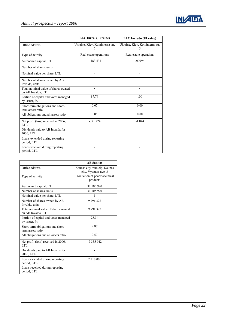

|                                                           | LLC Inreal (Ukraine)           | LLC Incredo (Ukraine)          |
|-----------------------------------------------------------|--------------------------------|--------------------------------|
| Office address                                            | Ukraine, Kiev, Kominterna str. | Ukraine, Kiev, Kominterna str. |
| Type of activity                                          | Real estate operations         | Real estate operations         |
| Authorized capital, LTL                                   | 1 183 431                      | 26 096                         |
| Number of shares, units                                   |                                |                                |
| Nominal value per share, LTL                              | $\blacksquare$                 |                                |
| Number of shares owned by AB<br>Invalda, units            |                                |                                |
| Total nominal value of shares owned<br>bu AB Invalda, LTL |                                |                                |
| Portion of capital and votes managed<br>by issuer, %      | 87.79                          | 100                            |
| Short-term obligations and short-<br>term assets ratio    | 0.07                           | 0.00                           |
| All obligations and all assets ratio                      | 0.05                           | 0.00                           |
| Net profit (loss) received in 2006,<br>LTL                | $-391224$                      | $-1044$                        |
| Dividends paid to AB Invalda for<br>2006, LTL             |                                |                                |
| Loans extended during reporting<br>period, LTL            |                                |                                |
| Loans received during reporting<br>period, LTL            |                                |                                |

|                                                           | <b>AB</b> Sanitas                                    |
|-----------------------------------------------------------|------------------------------------------------------|
| Office address                                            | Kaunas city municip. Kaunas<br>city, Vytautas ave. 3 |
| Type of activity                                          | Production of pharmaceutical<br>products             |
| Authorized capital, LTL                                   | 31 105 920                                           |
| Number of shares, units                                   | 31 105 920                                           |
| Nominal value per share, LTL                              | 1                                                    |
| Number of shares owned by AB<br>Invalda, units            | 9791322                                              |
| Total nominal value of shares owned<br>bu AB Invalda, LTL | 9791322                                              |
| Portion of capital and votes managed<br>by issuer, %      | 28.34                                                |
| Short-term obligations and short-<br>term assets ratio    | 2.87                                                 |
| All obligations and all assets ratio                      | 0.57                                                 |
| Net profit (loss) received in 2006,<br>LTL                | $-7335042$                                           |
| Dividends paid to AB Invalda for<br>2006, LTL             |                                                      |
| Loans extended during reporting<br>period, LTL            | 2 2 10 000                                           |
| Loans received during reporting<br>period, LTL            |                                                      |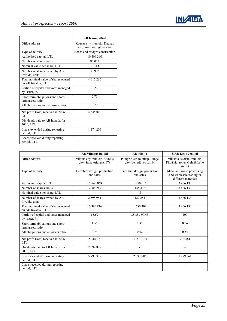

|                                                           | <b>AB Kauno tiltai</b>                                   |
|-----------------------------------------------------------|----------------------------------------------------------|
| Office address                                            | Kaunas city municip. Kaunas<br>city, Ateities highway 46 |
| Type of activity                                          | Roads and bridges construction                           |
| Authorized capital, LTL                                   | 10 409 360                                               |
| Number of shares, units                                   | 80 072                                                   |
| Nominal value per share, LTL                              | 130 Lt                                                   |
| Number of shares owned by AB<br>Invalda, units            | 30 902                                                   |
| Total nominal value of shares owned<br>bu AB Invalda, LTL | 4 017 260                                                |
| Portion of capital and votes managed<br>by issuer, $%$    | 38,59                                                    |
| Short-term obligations and short-<br>term assets ratio    | 0,71                                                     |
| All obligations and all assets ratio                      | 0.70                                                     |
| Net profit (loss) received in 2006,<br>LTL                | 4 345 000                                                |
| Dividends paid to AB Invalda for<br>2006, LTL             |                                                          |
| Loans extended during reporting<br>period, LTL            | 1 174 206                                                |
| Loans received during reporting<br>period, LTL            |                                                          |

|                                                           | <b>AB Vilniaus baldai</b>                                 | <b>AB</b> Minija                                         | <b>UAB Kelio ženklai</b>                                                     |
|-----------------------------------------------------------|-----------------------------------------------------------|----------------------------------------------------------|------------------------------------------------------------------------------|
| Office address                                            | Vilnius city municip. Vilnius<br>city, Savanoriu ave. 178 | Plungė distr. municip.Plungė<br>city, Lentpjūvės str. 14 | Vilkaviškis distr. municip.<br>Pilviškiai town, Geležinkelio<br>str. $28$    |
| Type of activity                                          | Furniture design, production<br>and sales                 | Furniture design, production<br>and sales                | Metal and wood processing<br>and wholesale trading in<br>different materials |
| Authorized capital, LTL                                   | 15 545 068                                                | 1890616                                                  | 3 466 133                                                                    |
| Number of shares, units                                   | 3 886 267                                                 | 145 432                                                  | 3 466 133                                                                    |
| Nominal value per share, LTL                              | 4                                                         | 13                                                       |                                                                              |
| Number of shares owned by AB<br>Invalda, units            | 2 598 954                                                 | 129 254                                                  | 3 466 133                                                                    |
| Total nominal value of shares owned<br>bu AB Invalda, LTL | 10 395 816                                                | 1680302                                                  | 3 466 133                                                                    |
| Portion of capital and votes managed<br>by issuer, %      | 65.62                                                     | 88.88 / 90.43                                            | 100                                                                          |
| Short-term obligations and short-<br>term assets ratio    | 1.55                                                      | 1.87                                                     | 0.66                                                                         |
| All obligations and all assets ratio                      | 0.76                                                      | 0.92                                                     | 0.54                                                                         |
| Net profit (loss) received in 2006,<br><b>LTL</b>         | $-5316927$                                                | $-2232164$                                               | 719 581                                                                      |
| Dividends paid to AB Invalda for<br>2006, LTL             | 2 592 888                                                 |                                                          |                                                                              |
| Loans extended during reporting<br>period, LTL            | 5 798 378                                                 | 2 092 786                                                | 1979861                                                                      |
| Loans received during reporting<br>period, LTL            |                                                           |                                                          |                                                                              |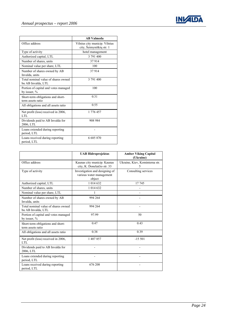

|                                                           | <b>AB Valmeda</b>                                         |
|-----------------------------------------------------------|-----------------------------------------------------------|
| Office address                                            | Vilnius city municip. Vilnius<br>city, Šeimyniškių str. 1 |
| Type of activity                                          | hotel management                                          |
| Authorized capital, LTL                                   | 3 791 400                                                 |
| Number of shares, units                                   | 37914                                                     |
| Nominal value per share, LTL                              | 100                                                       |
| Number of shares owned by AB<br>Invalda, units            | 37914                                                     |
| Total nominal value of shares owned<br>bu AB Invalda, LTL | 3 791 400                                                 |
| Portion of capital and votes managed<br>by issuer, $%$    | 100                                                       |
| Short-term obligations and short-<br>term assets ratio    | 0.31                                                      |
| All obligations and all assets ratio                      | 0.55                                                      |
| Net profit (loss) received in 2006,<br>LTL                | 1 776 457                                                 |
| Dividends paid to AB Invalda for<br>2006, LTL             | 908 984                                                   |
| Loans extended during reporting<br>period, LTL            |                                                           |
| Loans received during reporting<br>period, LTL            | 6 685 870                                                 |

|                                                           | <b>UAB Hidroprojektas</b>                                            | <b>Amber Viking Capital</b><br>(Ukraine) |
|-----------------------------------------------------------|----------------------------------------------------------------------|------------------------------------------|
| Office address                                            | Kaunas city municip. Kaunas<br>city, K. Donelaičio str. 33           | Ukraine, Kiev, Kominterna str.<br>5      |
| Type of activity                                          | Investigation and designing of<br>various water management<br>object | Consulting services                      |
| Authorized capital, LTL                                   | 1 014 632                                                            | 17 745                                   |
| Number of shares, units                                   | 1 014 632                                                            |                                          |
| Nominal value per share, LTL                              | 1                                                                    |                                          |
| Number of shares owned by AB<br>Invalda, units            | 994 264                                                              |                                          |
| Total nominal value of shares owned<br>bu AB Invalda, LTL | 994 264                                                              |                                          |
| Portion of capital and votes managed<br>by issuer, %      | 97.99                                                                | 50                                       |
| Short-term obligations and short-<br>term assets ratio    | 0.47                                                                 | 0.43                                     |
| All obligations and all assets ratio                      | 0.38                                                                 | 0.39                                     |
| Net profit (loss) received in 2006,<br>LTL                | 1 407 857                                                            | $-15,501$                                |
| Dividends paid to AB Invalda for<br>2006, LTL             |                                                                      |                                          |
| Loans extended during reporting<br>period, LTL            |                                                                      |                                          |
| Loans received during reporting<br>period, LTL            | 676 208                                                              |                                          |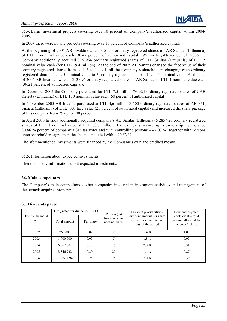

<span id="page-24-0"></span>35.4. Large investment projects covering over 10 percent of Company's authorized capital within 2004- 2006.

In 2004 there were no any projects covering over 10 percent of Company's authorized capital.

At the beginning of 2005 AB Invalda owned 545 655 ordinary registered shares of AB Sanitas (Lithuania) of LTL 5 nominal value each (30.47 percent of authorized capital). Within July-November of 2005 the Company additionally acquired 316 964 ordinary registered shares of AB Sanitas (Lithuania) of LTL 5 nominal value each (for LTL 19.4 million). At the end of 2005 AB Sanitas changed the face value of their ordinary registered shares from LTL 5 to LTL 1, all the Company's shareholders changing each ordinary registered share of LTL 5 nominal value to 5 ordinary registered shares of LTL 1 nominal value. At the end of 2005 AB Invalda owned 4 313 095 ordinary registered shares of AB Sanitas of LTL 1 nominal value each (39.21 percent of authorized capital).

In December 2005 the Company purchased for LTL 7.5 million 76 924 ordinary registered shares of UAB Kelesta (Lithuania) of LTL 130 nominal value each (50 percent of authorized capital).

In November 2005 AB Invalda purchased at LTL 4,6 million 8 500 ordinary registered shares of AB FMĮ Finasta (Lithuania) of LTL 100 face value (25 percent of authorized capital) and increased the share package of this company from 75 up to 100 percent.

In April 2006 Invalda additionally acquired company's AB Sanitas (Lithuania) 5 285 920 ordinary registered shares of LTL 1 nominal value at LTL 68.7 million. The Company according to ownership right owned 30.86 % percent of company's Sanitas votes and with controlling persons – 47.03 %, together with persons upon shareholders agreement has been concluded with – 90.53 %.

The aforementioned investments were financed by the Company's own and credited means.

35.5. Information about expected investments

There is no any information about expected investments.

## **36. Main competitors**

The Company's main competitors - other companies involved in investment activities and management of the owned/ acquired property.

## **37. Dividends payed**

|                           | Designated for dividends (LTL) |           | Portion $(\% )$                 | Divident profitability $=$                                                | Dividend payment                                                       |
|---------------------------|--------------------------------|-----------|---------------------------------|---------------------------------------------------------------------------|------------------------------------------------------------------------|
| For the financial<br>year | Total amount                   | Per share | from the share<br>nominal value | divident amount per share<br>share price on the last<br>day of the period | $coefficient = total$<br>amount allocated for<br>dividends /net profit |
| 2002                      | 760,000                        | 0.02      | C                               | 5.4 %                                                                     | 1.03                                                                   |
| 2003                      | 1.900.000                      | 0.05      |                                 | $1.8\%$                                                                   | 0.95                                                                   |
| 2004                      | 6.062.601                      | 0.15      | 15                              | $2.0\%$                                                                   | 0.31                                                                   |
| 2005                      | 8.346.932                      | 0.20      | 20                              | $1.4\%$                                                                   | 0.87                                                                   |
| 2006                      | 11.252.094                     | 0.25      | 25                              | $2.0\%$                                                                   | 0.39                                                                   |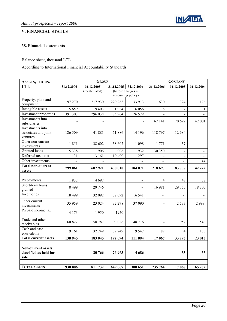

# <span id="page-25-0"></span>**V. FINANCIAL STATUS**

# **38. Financial statements**

Balance sheet, thousand LTL

According to International Financial Accountability Standards

| <b>ASSETS, THOUS.</b>                                       |                          | <b>GROUP</b>   |            |                                          |                | <b>COMPANY</b> |                |
|-------------------------------------------------------------|--------------------------|----------------|------------|------------------------------------------|----------------|----------------|----------------|
| <b>LTL</b>                                                  | 31.12.2006               | 31.12.2005     | 31.12.2005 | 31.12.2004                               | 31.12.2006     | 31.12.2005     | 31.12.2004     |
|                                                             |                          | (recalculated) |            | (before changes in<br>accounting policy) |                |                |                |
| Property, plant and<br>equipment                            | 197 270                  | 217930         | 220 268    | 133 913                                  | 630            | 324            | 176            |
| Intangible assets                                           | 5 6 5 9                  | 9 4 0 3        | 31 984     | 6 0 5 6                                  | 8              |                | $\mathbf{1}$   |
| Investment properties                                       | 391 303                  | 296 038        | 75 964     | 26 579                                   |                |                |                |
| Investments into<br>subsidiaries                            |                          | $\blacksquare$ |            |                                          | 67 141         | 70 692         | 42 001         |
| Investments into<br>associates and joint-<br>ventures       | 186 509                  | 41 881         | 51886      | 14 196                                   | 118797         | 12 684         |                |
| Other non-current<br>investments                            | 1851                     | 38 602         | 38 602     | 1 0 9 8                                  | 1771           | 37             |                |
| Granted loans                                               | 15 338                   | 906            | 906        | 932                                      | 30 350         | $\sim$         | $\blacksquare$ |
| Deferred tax asset                                          | 1 1 3 1                  | 3 1 6 1        | 10 400     | 1 2 9 7                                  |                |                |                |
| Other investments                                           | $\overline{\phantom{a}}$ | $\blacksquare$ |            | $\blacksquare$                           | $\blacksquare$ | $\blacksquare$ | 44             |
| <b>Total non-current</b><br>assets                          | 799 061                  | 607921         | 430 010    | 184 071                                  | 218 697        | 83 737         | 42 222         |
|                                                             |                          |                |            |                                          |                |                |                |
| Prepayments                                                 | 1832                     | 4697           |            |                                          | $\overline{4}$ | 48             | 37             |
| Short-term loans<br>granted                                 | 8 4 9 9                  | 29 746         |            |                                          | 16 981         | 29 7 55        | 18 305         |
| Inventories                                                 | 18 499                   | 32 092         | 32 092     | 16 541                                   |                |                |                |
| Other current<br>investments                                | 35 959                   | 23 024         | 32 278     | 37 090                                   | $\blacksquare$ | 2 5 3 3        | 2999           |
| Prepaid income tax                                          | 4 1 7 3                  | 1950           | 1950       |                                          |                |                |                |
| Trade and other<br>receivables                              | 60 822                   | 58 787         | 93 0 26    | 48 716                                   |                | 957            | 543            |
| Cash and cash<br>equivalents                                | 9 1 6 1                  | 32 749         | 32 749     | 9 5 4 7                                  | 82             | $\overline{4}$ | 1 1 3 3        |
| <b>Total current assets</b>                                 | 138 945                  | 183 045        | 192 094    | 111 894                                  | 17 067         | 33 297         | 23 017         |
|                                                             |                          |                |            |                                          |                |                |                |
| <b>Non-current assets</b><br>classified as held for<br>sale |                          | 20 766         | 26 963     | 4686                                     |                | 33             | 33             |
|                                                             |                          |                |            |                                          |                |                |                |
| <b>TOTAL ASSETS</b>                                         | 938 006                  | 811 732        | 649 067    | 300 651                                  | 235 764        | 117 067        | 65 272         |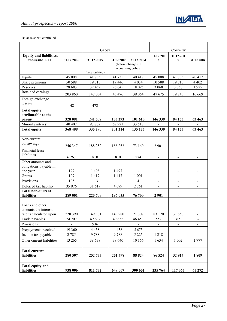

Balanse sheet, continued

|                                            |                    | <b>GROUP</b>             | <b>COMPANY</b>    |                    |                        |                              |                           |
|--------------------------------------------|--------------------|--------------------------|-------------------|--------------------|------------------------|------------------------------|---------------------------|
| <b>Equity and liabilities,</b>             |                    |                          |                   |                    |                        |                              |                           |
| thousand LTL                               | 31.12.2006         | 31.12.2005               | 31.12.2005        | 31.12.2004         | 31.12.200<br>6         | 31.12.200<br>5               | 31.12.2004                |
|                                            |                    |                          |                   | (before changes in |                        |                              |                           |
|                                            |                    |                          |                   | accounting policy) |                        |                              |                           |
|                                            | 45 008             | (recalculated)<br>41 735 | 41 735            | 40 417             | 45 008                 | 41 735                       | 40 417                    |
| Equity<br>Share premiums                   | 50 588             | 19815                    | 19 4 46           | 4 0 3 4            | 50 588                 | 19815                        | 4 4 0 2                   |
| Reserves                                   | 28 683             | 32 452                   | 26 645            | 18 095             | 3 0 6 8                | 3 3 5 8                      | 1975                      |
| Retained earnings                          |                    |                          |                   |                    |                        |                              |                           |
|                                            | 203 860            | 147 034                  | 45 4 7 6          | 39 064             | 47675                  | 19 245                       | 16 669                    |
| Foreign exchange<br>reserve                |                    |                          |                   |                    |                        |                              |                           |
|                                            | $-48$              | 472                      |                   | $\blacksquare$     | $\blacksquare$         | $\blacksquare$               | $\sim$                    |
| <b>Total equity</b>                        |                    |                          |                   |                    |                        |                              |                           |
| attributable to the                        |                    |                          |                   |                    |                        | 84 153                       |                           |
| parent<br>Minority interest                | 328 091<br>40 40 7 | 241 508<br>93 782        | 133 293<br>67 921 | 101 610<br>33 517  | 146 339                |                              | 63 4 63<br>$\blacksquare$ |
| <b>Total equity</b>                        | 368 498            | 335 290                  | 201 214           | 135 127            | 146 339                | 84 153                       | 63 463                    |
|                                            |                    |                          |                   |                    |                        |                              |                           |
| Non-current                                |                    |                          |                   |                    |                        |                              |                           |
| borrowings                                 |                    |                          |                   |                    |                        |                              |                           |
| Financial lease                            | 246 347            | 188 252                  | 188 252           | 73 160             | 2 9 0 1                |                              |                           |
| liabilities                                |                    |                          |                   |                    |                        |                              |                           |
|                                            | 6 2 6 7            | 810                      | 810               | 274                |                        |                              |                           |
| Other amounts and                          |                    |                          |                   |                    |                        |                              |                           |
| obligations payable in<br>one year         | 197                | 1 4 9 8                  | 1 4 9 7           |                    |                        |                              |                           |
| Grants                                     | 109                | 1417                     | 1417              | 1 001              | $\blacksquare$         | $\overline{\phantom{a}}$     | $\blacksquare$            |
| Provisions                                 | 105                | 113                      |                   | 4                  |                        | $\blacksquare$               | $\overline{\phantom{0}}$  |
| Deferred tax liability                     | 35 976             | 31 619                   | 4 0 7 9           | 2 2 6 1            | $\blacksquare$         | $\overline{\phantom{a}}$     | $\overline{\phantom{a}}$  |
| Total non-current                          |                    |                          |                   |                    |                        |                              |                           |
| liabilities                                | 289 001            | 223 709                  | 196 055           | 76 700             | 2 9 0 1                |                              |                           |
|                                            |                    |                          |                   |                    |                        |                              |                           |
| Loans and other                            |                    |                          |                   |                    |                        |                              |                           |
| amounts the interest                       |                    |                          |                   |                    |                        |                              |                           |
| rate is calculated upon                    | 220 390<br>24 707  | 149 301<br>49 632        | 149 280<br>49 652 | 21 307<br>46 453   | 83 120<br>552          | 31 850<br>62                 | 32                        |
| Trade payables<br>Provisions               | $\blacksquare$     | 936                      |                   |                    |                        |                              |                           |
|                                            |                    |                          |                   | $\blacksquare$     | $\blacksquare$         | $\qquad \qquad \blacksquare$ |                           |
| Prepayments received<br>Income tax payable | 19 360<br>2 7 8 5  | 4 4 3 8<br>9788          | 4 4 3 8<br>9788   | 5 6 7 3<br>5 2 2 5 | $\blacksquare$<br>1218 |                              |                           |
|                                            |                    |                          |                   |                    |                        | $\blacksquare$               |                           |
| Other current liabilities                  | 13 265             | 38 638                   | 38 640            | 10 16 6            | 1634                   | 1 0 0 2                      | 1 777                     |
|                                            |                    |                          |                   |                    |                        |                              |                           |
| <b>Total current</b><br>liabilities        | 280 507            | 252 733                  | 251 798           | 88 824             | 86 524                 | 32 914                       | 1809                      |
|                                            |                    |                          |                   |                    |                        |                              |                           |
| <b>Total equity and</b><br>liabilities     | 938 006            | 811 732                  | 649 067           | 300 651            | 235 764                | 117 067                      | 65 272                    |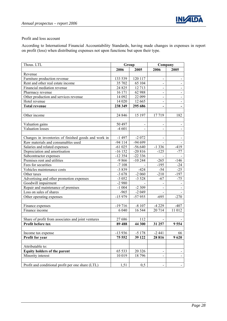

#### Profit and loss account

According to International Financial Accountability Standards, having made changes in expenses in report on profit (loss) when distributing expenses not upon functionc but upon their type.

| Thous. LTL                                           | Group     |                   | Company                      |                |  |  |
|------------------------------------------------------|-----------|-------------------|------------------------------|----------------|--|--|
|                                                      | 2006      | 2005              | 2006                         | 2005           |  |  |
| Revenue                                              |           |                   |                              |                |  |  |
| Furniture production revenue                         | 133 539   | 120 117           | $\overline{\phantom{a}}$     | $\blacksquare$ |  |  |
| Rent and other real estate income                    | 35 702    | 65 104            | $\overline{\phantom{a}}$     | $\blacksquare$ |  |  |
| Financial mediation revenue                          | 24 8 25   | 12713             | $\overline{\phantom{0}}$     | $\blacksquare$ |  |  |
| Pharmacy revenue                                     | 16 17 1   | 62 988            | $\overline{\phantom{0}}$     | $\blacksquare$ |  |  |
| Other production and services revenue                | 14 092    | 22 099            | $\blacksquare$               | $\blacksquare$ |  |  |
| Hotel revenue                                        | 14 0 20   | 12 665            | $\blacksquare$               | $\blacksquare$ |  |  |
| <b>Total revenue</b>                                 | 238 349   | 295 686           | $\qquad \qquad \blacksquare$ | $\blacksquare$ |  |  |
|                                                      |           |                   |                              |                |  |  |
| Other income                                         | 24 8 46   | 15 197            | 17719                        | 182            |  |  |
| Valuation gains                                      | 50 497    | $\blacksquare$    | $\blacksquare$               | $\blacksquare$ |  |  |
| Valuation losses                                     | $-4601$   | $\blacksquare$    | $\blacksquare$               | $\blacksquare$ |  |  |
|                                                      |           |                   |                              |                |  |  |
| Changes in inventories of finished goods and work in | $-1497$   | $-2072$           |                              | $\blacksquare$ |  |  |
| Raw materials and consumables used                   | -94 114   | -94 699           |                              |                |  |  |
| Salaries and related expenses                        | $-61025$  | $-56.640$         | $-1336$                      | $-419$         |  |  |
| Depreciation and amortisation                        | $-16$ 152 | $-20816$          | $-125$                       | $-77$          |  |  |
| Subcontractor expenses                               | $-12354$  | $-22336$          |                              |                |  |  |
| Premises rent and utilities                          | $-9866$   | $-10244$          | $-265$                       | $-146$         |  |  |
| Fees for securities                                  | $-7108$   |                   | $-195$                       | $-24$          |  |  |
| Vehicles maintenance costs                           | $-3839$   | $-424$            | $-54$                        | $-25$          |  |  |
| Other taxes                                          | $-3678$   | $-2060$           | $-210$                       | $-197$         |  |  |
| Advertising and other promotion expenses             | $-3052$   | $-3528$           | $-67$                        | $-75$          |  |  |
| Goodwill impairment                                  | $-2980$   |                   |                              |                |  |  |
| Repair and maintenance of premises                   | $-1004$   | $-2309$           |                              |                |  |  |
| Loss on sales of shares                              | $-965$    | $-2049$           |                              |                |  |  |
| Other operating expenses                             | $-15979$  | $-57955$          | $-695$                       | $-270$         |  |  |
| Finance expenses                                     | $-19716$  | $-8107$           | $-4229$                      | $-407$         |  |  |
| Finance income                                       | 6 0 4 0   | 16 5 44           | 20714                        | 11 012         |  |  |
|                                                      |           |                   |                              |                |  |  |
| Share of profit from associates and joint ventures   | 27 686    | 112               |                              |                |  |  |
| Profit before tax                                    | 89 488    | $\frac{1}{44}300$ | 31 257                       | 9 5 5 4        |  |  |
|                                                      |           |                   |                              |                |  |  |
| Income tax expense                                   | $-13936$  | $-5178$           | $-2441$                      | 66             |  |  |
| Profit for year                                      | 75 5 52   | 39 122            | 28 8 16                      | 9620           |  |  |
| Attributable to:                                     |           |                   |                              |                |  |  |
| <b>Equity holders of the parent</b>                  | 65 5 33   | 20 3 26           |                              |                |  |  |
| Minority interest                                    | 10 019    | 18796             |                              |                |  |  |
| Profit and conditional profit per one share (LTL)    | 1,51      | 0,5               | $\overline{\phantom{0}}$     |                |  |  |
|                                                      |           |                   |                              |                |  |  |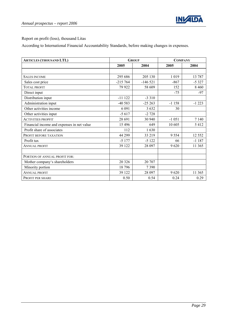

Report on profit (loss), thousand Litas

According to International Financial Accountability Standards, before making changes in expenses.

| <b>ARTICLES (THOUSAND LTL)</b>             |           | <b>GROUP</b> |         | <b>COMPANY</b> |
|--------------------------------------------|-----------|--------------|---------|----------------|
|                                            | 2005      | 2004         | 2005    | 2004           |
|                                            |           |              |         |                |
| <b>SALES INCOME</b>                        | 295 686   | 205 130      | 1 0 1 9 | 13 787         |
| Sales cost price                           | $-215764$ | $-146521$    | $-867$  | $-5327$        |
| <b>TOTAL PROFIT</b>                        | 79 922    | 58 609       | 152     | 8 4 6 0        |
| Direct input                               |           |              | $-75$   | $-97$          |
| Distribution input                         | $-11122$  | $-3310$      |         |                |
| Administration input                       | $-40583$  | $-25263$     | $-1158$ | $-1223$        |
| Other activities income                    | 6 0 9 1   | 3 6 3 2      | 30      |                |
| Other activities input                     | $-5617$   | $-2728$      |         |                |
| <b>ACTIVITIES PROPFIT</b>                  | 28 691    | 30 940       | $-1051$ | 7 1 4 0        |
| Financial income and expenses in net value | 15 4 9 6  | 649          | 10 605  | 5412           |
| Profit share of associates                 | 112       | 1630         |         |                |
| PROFIT BEFORE TAXATION                     | 44 299    | 33 219       | 9 5 5 4 | 12 5 5 2       |
| Profit tax                                 | $-5177$   | $-5122$      | 66      | $-1187$        |
| <b>ANNUAL PROFIT</b>                       | 39 122    | 28 097       | 9620    | 11 365         |
|                                            |           |              |         |                |
| PORTION OF ANNUAL PROFIT FOR:              |           |              |         |                |
| Mother company's shareholders              | 20 3 26   | 20 707       |         |                |
| Minority portion                           | 18796     | 7390         |         |                |
| <b>ANNUAL PROFIT</b>                       | 39 122    | 28 097       | 9620    | 11 365         |
| <b>PROFIT PER SHARE</b>                    | 0.50      | 0.54         | 0.24    | 0.29           |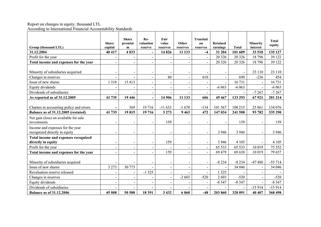#### Report on changes in equity, thousand LTL According to International Financial Accountability Standards

|                                                                   | <b>Share</b> | <b>Share</b><br>premiui  | Re-<br>valuation         | Fair<br>value  | Other                    | Translati<br>on              | <b>Retained</b> |              | Minority                 | <b>Total</b> |
|-------------------------------------------------------------------|--------------|--------------------------|--------------------------|----------------|--------------------------|------------------------------|-----------------|--------------|--------------------------|--------------|
| Group (thousand LTL)                                              | capital      | $\mathbf{m}$             | reserve                  | reserves       | reserves                 | reserves                     | earnings        | <b>Total</b> | interest                 | equity       |
| 31.12.2004                                                        | 40 417       | 4 0 3 3                  | $\overline{\phantom{a}}$ | 14826          | 11 133                   | $-4$                         | 31 204          | 101 609      | 33 518                   | 135 127      |
| Profit for the year                                               |              |                          | $\blacksquare$           |                |                          | $\sim$                       | 20 3 26         | 20 3 26      | 18796                    | 39 122       |
| Total income and expenses for the year                            |              | $\sim$                   | $\blacksquare$           |                |                          | $\blacksquare$               | 20 3 26         | 20 3 26      | 18796                    | 39 122       |
|                                                                   |              |                          |                          |                |                          |                              |                 |              |                          |              |
| Minority of subsidiaries acquiried                                |              | $\overline{\phantom{a}}$ | $\overline{\phantom{a}}$ |                |                          | $\blacksquare$               |                 | $\sim$       | 23 110                   | 23 110       |
| Changes in reserves                                               |              |                          | $\overline{\phantom{a}}$ | 80             |                          | 610                          |                 | 690          | $-236$                   | 454          |
| Issue of new shares                                               | 1 3 1 8      | 15 4 13                  | $\overline{a}$           |                |                          | $\overline{a}$               |                 | 16 731       |                          | 16 731       |
| Equity dividends                                                  |              |                          | $\blacksquare$           |                | $\overline{\phantom{0}}$ | $\blacksquare$               | $-6063$         | $-6063$      | $\blacksquare$           | $-6063$      |
| Dividends of subsidiaries                                         |              |                          | $\blacksquare$           |                |                          |                              |                 |              | $-7267$                  | $-7267$      |
| As reported as of 31.12.2005                                      | 41 735       | 19 44 6                  | $\blacksquare$           | 14 906         | 11 133                   | 606                          | 45 467          | 133 293      | 67921                    | 201 214      |
|                                                                   |              |                          |                          |                |                          |                              |                 |              |                          |              |
| Chantes in accounting policy and errors                           |              | 369                      | 19716                    | $-11633$       | $-1670$                  | $-134$                       | 101 567         | 108 215      | 25 861                   | 134 076      |
| Balance as of 31.12.2005 (restated)                               | 41 735       | 19815                    | 19716                    | 3 2 7 3        | 9 4 6 3                  | 472                          | 147 034         | 241 508      | 93 782                   | 335 290      |
| Net gain (loss) on available for sale<br>investments              |              |                          |                          | 159            |                          |                              |                 | 159          |                          | 159          |
|                                                                   |              | $\blacksquare$           | $\blacksquare$           |                | $\blacksquare$           | $\overline{\phantom{a}}$     |                 |              | $\blacksquare$           |              |
| Income and expenses for the year<br>recognized directly in equity |              |                          | $\overline{a}$           |                |                          | $\blacksquare$               | 3 9 4 6         | 3 9 4 6      | $\blacksquare$           | 3 9 4 6      |
| Total income and expenses recognized                              |              |                          |                          |                |                          |                              |                 |              |                          |              |
| directly in equity                                                |              |                          | $\blacksquare$           | 159            |                          | $\blacksquare$               | 3 9 4 6         | 4 1 0 5      | $\blacksquare$           | 4 1 0 5      |
| Profit for the year                                               |              | $\blacksquare$           | $\blacksquare$           |                | $\sim$                   | $\blacksquare$               | 65 533          | 65 533       | 10 019                   | 75 552       |
| Total income and expenses for the year                            |              |                          | $\overline{a}$           | 159            |                          | $\qquad \qquad \blacksquare$ | 69 479          | 69 638       | 10 019                   | 79 657       |
|                                                                   |              |                          |                          |                |                          |                              |                 |              |                          |              |
| Minority of subsidiaries acquired                                 |              |                          | $\overline{\phantom{a}}$ |                |                          | $\overline{\phantom{a}}$     | $-8234$         | $-8234$      | $-47480$                 | $-55714$     |
| Issue of new shares                                               | 3 2 7 3      | 30 773                   |                          |                |                          | $\overline{\phantom{a}}$     |                 | 34 046       | $\overline{\phantom{a}}$ | 34 046       |
| Revaluation reserve released                                      |              | $\blacksquare$           | $-1325$                  | $\blacksquare$ |                          | $\overline{\phantom{a}}$     | 1 3 2 5         |              | $\blacksquare$           |              |
| Changes in reserves                                               |              | $\overline{\phantom{a}}$ | $\overline{\phantom{m}}$ |                | $-2603$                  | $-520$                       | 2 603           | $-520$       | $\blacksquare$           | $-520$       |
| Equity dividends                                                  |              | $\overline{\phantom{0}}$ | $\blacksquare$           |                |                          | $\qquad \qquad \blacksquare$ | $-8347$         | $-8347$      | $\blacksquare$           | $-8347$      |
| Dividends of subsidiaries                                         |              |                          |                          |                |                          |                              |                 |              | $-15914$                 | $-15914$     |
| <b>Balance as of 31.12.2006</b>                                   | 45 008       | 50 588                   | 18 391                   | 3 4 3 2        | 6860                     | $-48$                        | 203 860         | 328 091      | 40 40 7                  | 368 498      |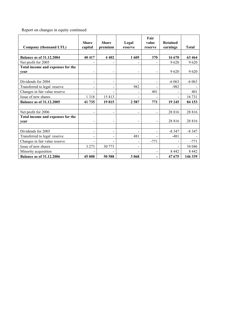Report on changes in equity continued

| Company (thousand LTL)            | <b>Share</b><br>capital      | <b>Share</b><br>premium  | Legal                    | Fair<br>value            | <b>Retained</b><br>earnings | <b>Total</b> |
|-----------------------------------|------------------------------|--------------------------|--------------------------|--------------------------|-----------------------------|--------------|
|                                   |                              |                          | reserve                  | reserve                  |                             |              |
| <b>Balance as of 31.12.2004</b>   | 40 417                       | 4 4 0 2                  | 1605                     | 370                      | 16 670                      | 63 4 64      |
| Net profit for 2005               |                              |                          |                          |                          | 9620                        | 9620         |
| Total income and expenses for the |                              |                          |                          |                          |                             |              |
| vear                              | $\qquad \qquad \blacksquare$ | $\overline{\phantom{a}}$ | $\overline{\phantom{a}}$ | $\blacksquare$           | 9620                        | 9620         |
|                                   |                              |                          |                          |                          |                             |              |
| Dividends for 2004                | $\blacksquare$               | $\blacksquare$           | $\overline{\phantom{a}}$ | $\blacksquare$           | $-6063$                     | $-6063$      |
| Transferred to legal reserve      | $\blacksquare$               | $\blacksquare$           | 982                      |                          | $-982$                      |              |
| Changes in fair value reserve     |                              |                          |                          | 401                      | -                           | 401          |
| Issue of new shares               | 1318                         | 15 4 13                  |                          |                          |                             | 16731        |
| <b>Balance as of 31.12.2005</b>   | 41 735                       | 19815                    | 2587                     | 771                      | 19 245                      | 84 153       |
|                                   |                              |                          |                          |                          |                             |              |
| Net profit for 2006               |                              |                          |                          | $\overline{\phantom{a}}$ | 28 8 16                     | 28 8 16      |
| Total income and expenses for the |                              |                          |                          |                          |                             |              |
| vear                              | $\qquad \qquad \blacksquare$ |                          | $\overline{\phantom{a}}$ | -                        | 28 8 16                     | 28 8 16      |
|                                   |                              |                          |                          |                          |                             |              |
| Dividends for 2005                | $\overline{\phantom{0}}$     | $\blacksquare$           | $\overline{\phantom{a}}$ | $\blacksquare$           | $-8347$                     | $-8347$      |
| Transferred to legal reserve      | $\blacksquare$               | $\blacksquare$           | 481                      | $\blacksquare$           | $-481$                      |              |
| Changes in fair value reserve     |                              |                          |                          | $-771$                   | $\overline{\phantom{0}}$    | $-771$       |
| Issue of new shares               | 3 2 7 3                      | 30 773                   |                          |                          | $\blacksquare$              | 34 046       |
| Minority acquisition              |                              |                          |                          |                          | 8442                        | 8 4 4 2      |
| <b>Balance as of 31.12.2006</b>   | 45 008                       | 50 588                   | 3 0 6 8                  | -                        | 47 675                      | 146 339      |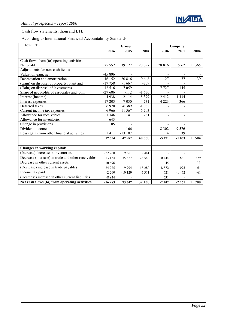

# Cash flow statements, thousand LTL

# According to International Financial Accountability Standards

| Thous. LTL                                         |           | Group    |           |                              | Company                  |        |
|----------------------------------------------------|-----------|----------|-----------|------------------------------|--------------------------|--------|
|                                                    | 2006      | 2005     | 2004      | 2006                         | 2005                     | 2004   |
|                                                    |           |          |           |                              |                          |        |
| Cash flows from (to) operating activities          |           |          |           |                              |                          |        |
| Net profit                                         | 75 552    | 39 122   | 28 097    | 28 8 16                      | 962                      | 11 365 |
| Adjustments for non-cash items:                    |           |          |           |                              |                          |        |
| Valuation gain, net                                | -45 896   |          |           | $\blacksquare$               | $\overline{\phantom{a}}$ |        |
| Depreciation and amortization                      | 16 152    | 20 816   | 9648      | 127                          | 77                       | 139    |
| (Gain) on disposal of property, plant and          | $-17758$  | $-1667$  | $-309$    |                              |                          |        |
| (Gain) on disposal of investments                  | $-12516$  | $-7059$  |           | $-17727$                     | $-145$                   |        |
| Share of net profits of associates and joint       | $-27686$  | $-112$   | $-1630$   | $\blacksquare$               |                          |        |
| Interest (income)                                  | -4 938    | $-2114$  | $-5379$   | $-2412$                      | $-1434$                  |        |
| Interest expenses                                  | 17 203    | 7030     | 4731      | 4 2 2 3                      | 366                      |        |
| Deferred taxes                                     | 6970      | $-6389$  | $-1082$   |                              |                          |        |
| Current income tax expenses                        | 6966      | 11 567   | 6 2 0 3   | $\blacksquare$               | $\blacksquare$           |        |
| Allowance for receivables                          | 1 3 4 6   | 141      | 281       | $\qquad \qquad \blacksquare$ | $\blacksquare$           |        |
| Allowance for inventories                          | 643       |          |           | $\overline{\phantom{0}}$     | $\overline{\phantom{a}}$ |        |
| Change in provisions                               | 105       |          |           |                              |                          |        |
| Dividend income                                    |           | $-166$   |           | $-18302$                     | $-9576$                  |        |
| Loss (gain) from other financial activities        | 1411      | $-13187$ |           | 4                            | 39                       |        |
|                                                    | 17 5 54   | 47 982   | 40 560    | $-5271$                      | $-1053$                  | 11 504 |
|                                                    |           |          |           |                              |                          |        |
| Changes in working capital:                        |           |          |           |                              |                          |        |
| (Increase) decrease in inventories                 | $-222268$ | 9661     | 2 4 4 1   |                              |                          |        |
| Decrease (increase) in trade and other receivables | 13 154    | 35 827   | $-23,540$ | 10 4 44                      | $-831$                   | 329    |
| Decrease in other current assets                   | 10 696    |          |           | 45                           |                          | $-11$  |
| (Decrease) increase in trade payables              | $-24925$  | $-9994$  | 18 2 8 0  | $-8872$                      | 1 0 9 5                  | $-61$  |
| Income tax paid                                    | $-2260$   | $-10129$ | $-5311$   | 621                          | $-1472$                  | $-61$  |
| (Decrease) increase in other current liabilities   | $-8934$   |          |           | 631                          |                          |        |
| Net cash flows (to) from operating activities      | $-16983$  | 73 347   | 32 430    | $-2402$                      | $-2261$                  | 11700  |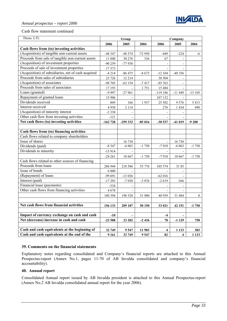#### <span id="page-32-0"></span>Cash flow statement continued

| Thous. LTL                                          |                          | Group    |          |                          | Company                  |                |
|-----------------------------------------------------|--------------------------|----------|----------|--------------------------|--------------------------|----------------|
|                                                     | 2006                     | 2005     | 2004     | 2006                     | 2005                     | 2004           |
| Cash flows from (to) investing activities           |                          |          |          |                          |                          |                |
| (Acquisition) of tangible non-current assets        | -48 347                  | $-48574$ | $-72950$ | $-449$                   | $-224$                   | -6             |
| Proceeds from sale of tangible non-current assets   | 11 040                   | 30 276   | 336      | 67                       |                          |                |
| (Acquisition) of investment properties              | $-90259$                 | $-77938$ |          |                          | $\overline{\phantom{m}}$ |                |
| Proceeds of sale of investment properties           | 17 573                   |          |          |                          |                          |                |
| (Acquisition) of subsidiaries, net of cash acquired | $-4214$                  | $-86475$ | $-8673$  | $-12104$                 | $-40356$                 |                |
| Proceeds from sales of subsidiaries                 | 23 7 26                  | 12 2 14  |          | 38 504                   |                          |                |
| (Acquisition) of associates                         | -98 705                  | $-63154$ | $-7417$  | $-85763$                 |                          |                |
| Proceeds from sales of associates                   | 17 193                   |          | 1751     | 15 484                   | $\overline{\phantom{a}}$ |                |
| Loans (granted)                                     | -9 9 97                  | $-27961$ |          | $-119186$                | $-11449$                 | $-15105$       |
| Repayment of granted loans                          | 15 906                   |          |          | 107 132                  |                          |                |
| Dividends received                                  | 869                      | 166      | 1937     | 25 502                   | 9576                     | 5 4 1 3        |
| Interest received                                   | 4938                     | 2 1 1 4  |          | 276                      | 1 4 3 4                  | 498            |
| (Acquisition) of minority interest                  | $-2330$                  |          |          |                          |                          |                |
| Other cash flow from investing activities           | $-121$                   |          |          |                          |                          |                |
| Net cash flows (to) investing activities            | $-162728$                | -259 332 | $-85016$ | $-30537$                 | $-41019$                 | $-9200$        |
|                                                     |                          |          |          |                          |                          |                |
| Cash flows from (to) financing activities           |                          |          |          |                          |                          |                |
| Cash flows related to company shareholders          |                          |          |          |                          |                          |                |
| Issue of shares                                     | $\overline{\phantom{a}}$ | 16 730   |          | $\overline{\phantom{a}}$ | 16 730                   |                |
| Dividends (paid)                                    | $-8347$                  | $-6063$  | $-1750$  | $-7918$                  | $-6063$                  | $-1750$        |
| Dividends to minority                               | $-15914$                 |          |          |                          |                          |                |
|                                                     | $-24261$                 | 10 667   | $-1750$  | $-7918$                  | 10 667                   | $-1750$        |
| Cash flows related to other sources of financing    |                          |          |          |                          |                          |                |
| Proceeds from loans                                 | 286 944                  | 218 586  | 55 776   | 105 574                  | 3185                     |                |
| Issue of bonds                                      | 6 0 0 0                  |          |          |                          |                          |                |
| (Repayment) of loans                                | -99 691                  | $-13036$ |          | $-62016$                 |                          |                |
| Interest (paid)                                     | $-17203$                 | $-7030$  | $-3876$  | $-2619$                  | $-366$                   |                |
| Financial lease (payments)                          | $-334$                   |          |          |                          |                          |                |
| Other cash flows from financing activities          | 4678                     |          |          |                          |                          |                |
|                                                     | 180 394                  | 198 520  | 51 900   | 40 939                   | 31 484                   | $\overline{0}$ |
|                                                     |                          |          |          |                          |                          |                |
| Net cash flows from financial activities            | 156 133                  | 209 187  | 50 150   | 33 021                   | 42 151                   | $-1750$        |
|                                                     |                          |          |          |                          |                          |                |
| Impact of currency exchange on cash and cash        | $-10$                    |          |          | $-4$                     |                          |                |
| Net (decrease) increase in cash and cash            | $-23588$                 | 23 202   | $-2436$  | 78                       | $-1129$                  | 750            |
|                                                     |                          |          |          |                          |                          |                |
| Cash and cash equivalents at the beginning of       | 32 749                   | 9547     | 11 983   | $\overline{\mathbf{4}}$  | 1 1 3 3                  | 383            |
| Cash and cash equivalents at the end of the         | 9 1 6 1                  | 32 749   | 9 5 4 7  | 82                       | $\overline{\mathbf{4}}$  | 1 1 3 3        |

#### **39. Comments on the financial statements**

Explanatory notes regarding consolidated and Company's financial reports are attached to this Annual Prospectus-report (Annex No.1, pages 11-70 of AB Invalda consolidated and company's financial accountability).

#### **40. Annual report**

Consolidated Annual report issued by AB Invalda president is attached to this Annual Prospectus-report (Annex No.2 AB Invalda consolidated annual report for the year 2006).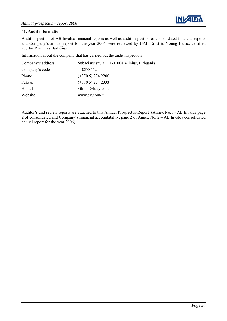

#### <span id="page-33-0"></span>**41. Audit information**

Audit inspection of AB Invalda financial reports as well as audit inspection of consolidated financial reports and Company's annual report for the year 2006 were reviewed by UAB Ernst & Young Baltic, certified auditor Ramūnas Bartašius.

Information about the company that has carried out the audit inspection

| Company's address | Subačiaus str. 7, LT-01008 Vilnius, Lithuania |
|-------------------|-----------------------------------------------|
| Company's code    | 110878442                                     |
| Phone             | $(+3705)$ 274 2200                            |
| Faksas            | $(+3705)$ 274 2333                            |
| E-mail            | vilnius@lt.ey.com                             |
| Website           | www.ey.com/lt                                 |

Auditor's and review reports are attached to this Annual Prospectus-Report (Annex No.1 - AB Invalda page 2 of consolidated and Company's financial accountability; page 2 of Annex No. 2 – AB Invalda consolidated annual report for the year 2006).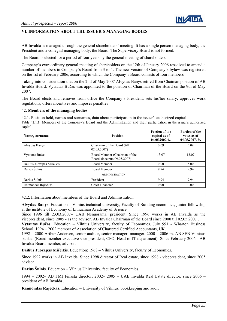

# <span id="page-34-0"></span>**VI. INFORMATION ABOUT THE ISSUER'S MANAGING BODIES**

AB Invalda is managed through the general shareholders' meeting. It has a single person managing body, the President and a collegial managing body, the Board. The Supervisory Board is not formed.

The Board is elected for a period of four years by the general meeting of shareholders.

Company's extraordinary general meeting of shareholders on the 12th of January 2006 ressolved to amend a number of members in Company's Board from 3 to 4. The new version of Company's bylaw was registered on the 1st of February 2006, according to which the Company's Board consists of four members

Taking into consideration that on the 2nd of May 2007 Alvydas Banys retired from Chaiman position of AB Invalda Board, Vytautas Bučas was appointed to the position of Chairman of the Board on the 9th of May 2007.

The Board elects and removes from office the Company's President, sets his/her salary, approves work regulations, offers incentives and imposes penalties

#### **42. Members of the managing bodies**

42.1. Position held, names and surnames, data about participation in the issuer's authorized capital Table 42.1.1. Members of the Company's Board and the Administration and their participation in the issuer's authorized capital

| Name, surname             | <b>Position</b>                                              | <b>Portion of the</b><br>capital as of<br>04.05.2007,% | Portion of the<br>votes as of<br>$04.05.2007, \%$ |
|---------------------------|--------------------------------------------------------------|--------------------------------------------------------|---------------------------------------------------|
| Alvydas Banys             | Chairman of the Board (till<br>02.05.2007                    | 0.09                                                   | 5.09                                              |
| Vytautas Bučas            | Board Member (Chairman of the<br>Board since nuo 09.05.2007) | 13.07                                                  | 13.07                                             |
| Dailius Juozapas Mišeikis | <b>Board Member</b>                                          | 0.00                                                   | 5.00                                              |
| Darius Šulnis             | <b>Board Member</b>                                          | 9.94                                                   | 9.94                                              |
|                           | <b>ADMINISTRATION</b>                                        |                                                        |                                                   |
| Darius Šulnis             | President                                                    | 9.94                                                   | 9.94                                              |
| Raimondas Rajeckas        | <b>Chief Financier</b>                                       | 0.00                                                   | 0.00                                              |

42.2. Information about members of the Board and Administration

**Alvydas Banys**. Education – Vilnius technical university, Faculty of Building economics, junior fellowship at the institute of Economy of Lithuanian Academy of Science

Since 1996 till 23.03.2007– UAB Nenuorama, president. Since 1996 works in AB Invalda as the vicepresident, since 2005 - as the advisor. AB Invalda Chairman of the Board since 2000 till 02.05.2007 .

**Vytautas Bučas**. Education – Vilnius University, faculty of Economics. July1991 - Wharton Business School, 1994 – 2002 member of Association of Chartered Certified Accountants, UK.

1992 – 2000 Arthur Andersen, senior auditor, senior manager, manager. 2000 – 2006 m. AB SEB Vilniaus bankas (Board member executive vice president, CFO, Head of IT department). Since February 2006 - AB Invalda Board member, advisor.

**Dailius Juozapas Mišeikis**. Education: 1968 – Vilnius University, faculty of Economics.

Since 1992 works in AB Invalda. Since 1998 director of Real estate, since 1998 - vicepresident, since 2005 advisor

**Darius Šulnis**. Education – Vilnius University, faculty of Economics.

1994 – 2002– AB FMĮ Finasta director, 2002– 2005 – UAB Invalda Real Estate director, since 2006 – president of AB Invalda .

**Raimondas Rajeckas**. Education – University of Vilnius, bookkeeping and audit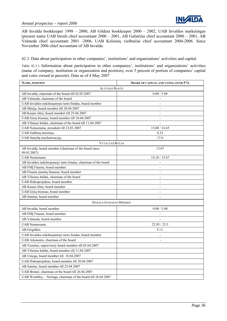

AB Invalda bookkeeper 1998 – 2000, AB Gildeta bookkeeper 2000 – 2002, UAB Invaldos marketingas (present name UAB Inred) chief accountant 2000 – 2001, AB Galinčius chief accountant 2000 – 2001, AB Valmeda chief accountant 2001 -2006, UAB Kelionių viešbučiai chief accountant 2004-2006. Since November 2006 chief accountant of AB Invalda.

42.3. Data about participation in other companies', institutions' and organizations' activities and capital.

Table 42.3.1. Information about participation in other companies', institutions' and organizations' activities (name of company, institution or organization and position), over 5 percent of portion of companies' capital and votes owned in percent). Data as of 4 May 2007

| NAME, POSITION                                                                                                    | SHARE OF CAPITAL AND VOTES, OVER 5 % |  |  |  |  |  |  |
|-------------------------------------------------------------------------------------------------------------------|--------------------------------------|--|--|--|--|--|--|
| <b>ALVYDAS BANYS</b>                                                                                              |                                      |  |  |  |  |  |  |
| AB Invalda, chairman of the board till 02.05.2007                                                                 | 0.09 / 5.09                          |  |  |  |  |  |  |
| AB Valmeda, chairman of the board                                                                                 |                                      |  |  |  |  |  |  |
| UAB Invaldos nekilnojamojo turto fondas, board member                                                             | $\overline{a}$                       |  |  |  |  |  |  |
| AB Minija, board member till 20.04.2007                                                                           | ٠                                    |  |  |  |  |  |  |
| AB Kauno tiltai, board member till 25.04.2007                                                                     | Ĭ.                                   |  |  |  |  |  |  |
| UAB Girių bizonas, board member till 24.04.2007                                                                   | L,                                   |  |  |  |  |  |  |
| AB Vilniaus baldai, chairman of the board till 11.04.2007                                                         |                                      |  |  |  |  |  |  |
| UAB Nenuorama, president till 23.03.2007                                                                          | 15.00 / 16.65                        |  |  |  |  |  |  |
| UAB Gulbinų turizmas,                                                                                             | 8.33                                 |  |  |  |  |  |  |
| UAB Statybų mechanizacija,                                                                                        | 17.0                                 |  |  |  |  |  |  |
| VYTAUTAS BUČAS                                                                                                    |                                      |  |  |  |  |  |  |
| AB Invalda, board member (chairman of the board since<br>09.05.2007)                                              | 13.07                                |  |  |  |  |  |  |
| UAB Nenuorama                                                                                                     | 14.10 / 15.67                        |  |  |  |  |  |  |
| AB Invaldos nekilnojamojo turto fondas, chairman of the board                                                     |                                      |  |  |  |  |  |  |
| AB FMI Finasta, board member                                                                                      |                                      |  |  |  |  |  |  |
| AB Finasta įmonių finansai, board member                                                                          | $\overline{a}$                       |  |  |  |  |  |  |
| AB Vilniaus baldai, chairman of the board                                                                         | $\overline{a}$                       |  |  |  |  |  |  |
| UAB Hidroprojektas, board member                                                                                  | $\overline{\phantom{a}}$             |  |  |  |  |  |  |
| AB Kauno tiltai, board member                                                                                     |                                      |  |  |  |  |  |  |
| UAB Girių bizonas, board member                                                                                   |                                      |  |  |  |  |  |  |
| AB Sanitas, board member                                                                                          |                                      |  |  |  |  |  |  |
| <b>DAILIUS JUOZAPAS MIŠEIKIS</b>                                                                                  |                                      |  |  |  |  |  |  |
| AB Invalda, board member                                                                                          | 0.00 / 5.00                          |  |  |  |  |  |  |
| AB FMI Finasta, board member                                                                                      | $\overline{a}$                       |  |  |  |  |  |  |
| AB Valmeda, board member                                                                                          |                                      |  |  |  |  |  |  |
| <b>UAB</b> Nenuorama                                                                                              | 22.95 / 25.5                         |  |  |  |  |  |  |
| AB Grigiškės                                                                                                      | 5.11.                                |  |  |  |  |  |  |
| UAB Invaldos nekilnojamojo turto fondas, board member                                                             |                                      |  |  |  |  |  |  |
| UAB Aikstentis, chairman of the board                                                                             |                                      |  |  |  |  |  |  |
| AB Vernitas, supervisory board member till 05.04.2007                                                             |                                      |  |  |  |  |  |  |
| AB Vilniaus baldai, board member till 11.04.2007                                                                  |                                      |  |  |  |  |  |  |
| AB Umega, board member till 18.04.2007                                                                            |                                      |  |  |  |  |  |  |
| UAB Hidroprojektas, board member till 20.04.2007                                                                  |                                      |  |  |  |  |  |  |
| AB Sanitas, board member till 25.04.2007                                                                          |                                      |  |  |  |  |  |  |
|                                                                                                                   |                                      |  |  |  |  |  |  |
|                                                                                                                   |                                      |  |  |  |  |  |  |
| UAB Broner, chairman of the board till 26.04.2007<br>UAB Wembley - Neringa, chairman of the board till 26.04.2007 |                                      |  |  |  |  |  |  |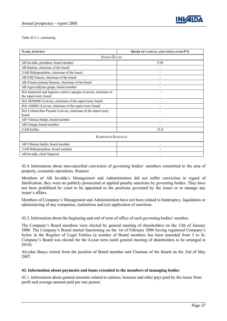

<span id="page-36-0"></span>Table 42.3.1. continuing

| <b>NAME, POSITION</b>                                                                       | <b>SHARE OF CAPITAL AND VOTES, OVER 5 %</b> |  |  |  |
|---------------------------------------------------------------------------------------------|---------------------------------------------|--|--|--|
| DARIUS ŠULNIS                                                                               |                                             |  |  |  |
| AB Invalda, president, board member                                                         | 9.94                                        |  |  |  |
| AB Sanitas, chairman of the board                                                           |                                             |  |  |  |
| UAB Hidroprojektas, chairman of the board                                                   |                                             |  |  |  |
| AB FMI Finasta, chairman of the board                                                       |                                             |  |  |  |
| AB Finasta imoniu finansai, chairman of the board                                           |                                             |  |  |  |
| AB Agrovaldymo grupė, board member                                                          |                                             |  |  |  |
| SIA Industrial and logistics centre Lapegles (Latvia), chairman of<br>the supervisory board |                                             |  |  |  |
| SIA DOMMO (Latvia), chairman of the supervisory board                                       |                                             |  |  |  |
| SIA AMMO (Latvia), chairman of the supervisory board                                        |                                             |  |  |  |
| SIA Celtniecibas Pasaule (Latvia), chairman of the supervisory<br>board                     |                                             |  |  |  |
| AB Vilniaus baldai, board member                                                            |                                             |  |  |  |
| AB Umega, board member                                                                      |                                             |  |  |  |
| <b>UAB</b> Golfas                                                                           | 31.0                                        |  |  |  |
| <b>RAIMONDAS RAJECKAS</b>                                                                   |                                             |  |  |  |
| AB Vilniaus baldai, board member                                                            |                                             |  |  |  |
| UAB Hidroprojektas, board member                                                            |                                             |  |  |  |
| AB Invalda, chief financier                                                                 | $\overline{\phantom{0}}$                    |  |  |  |

42.4. Information about non-cancelled conviction of governing bodies' members committed in the area of property, economic operations, finances

Members of AB Invalda's Management and Administration did not suffer conviction in regard of falsification, they were no publicly prosecuted or applied penalty sanctions by governing bodies. They have not been prohibited by court to be appointed to the positions governed by the issuer or to manage any issuer's affairs.

Members of Company's Management and Administration have not been related to bankruptcy, liquidation or administering of any companies, institutions and (or) application of sanctions.

42.5. Information about the beginning and end of term of office of each governing bodies' member.

The Company's Board members were elected by general meeting of shareholders on the 12th of January 2006. The Company's Board started functioning on the 1st of February 2006 having registered Company's bylaw in the Register of Legal Entities (a number of Board members has been amended from 3 to 4). Company's Board was elected for the 4-year term (until general meeting of shareholders to be arranged in 2010).

Alvydas Banys retired from the position of Board member and Chaiman of the Board on the 2nd of May 2007.

#### **43. Information about payments and loans extended to the members of managing bodies**

43.1. Information about general amounts related to salaries, bonuses and other pays paid by the issuer from profit and average amount paid per one person.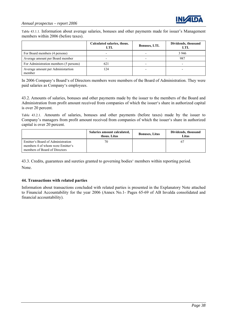<span id="page-37-0"></span>Table 43.1.1. Information about average salaries, bonuses and other payments made for issuer's Management members within 2006 (before taxes).

|                                             | Calculated salaries, thous.<br>LTL | <b>Bonuses, LTL</b> | Dividends, thousand<br>LTL |
|---------------------------------------------|------------------------------------|---------------------|----------------------------|
| For Board members (4 persons)               |                                    |                     | 3 9 4 6                    |
| Average amount per Board member             |                                    |                     | 987                        |
| For Administration members (5 persons)      | 621                                |                     |                            |
| Average amount per Administartion<br>member | 124                                |                     |                            |

In 2006 Company's Board's of Directors members were members of the Board of Administration. They were paid salaries as Company's employees.

43.2. Amounts of salaries, bonuses and other payments made by the issuer to the members of the Board and Administration from profit amount received from companies of which the issuer's share in authorized capital is over 20 percent.

Table 43.2.1. Amounts of salaries, bonuses and other payments (before taxes) made by the issuer to Company's managers from profit amount received from companies of which the issuer's share in authorized capital is over 20 percent.

|                                                                                                        | Salaries amount calculated,<br>thous. Litas | <b>Bonuses, Litas</b> | Dividends, thousand<br>Litas |
|--------------------------------------------------------------------------------------------------------|---------------------------------------------|-----------------------|------------------------------|
| Emitter's Board of Administration<br>members 4 of whom were Emitter's<br>members of Board of Directors | 70                                          |                       |                              |

43.3. Credits, guarantees and sureties granted to governing bodies' members within reporting period. None.

#### **44. Transactions with related parties**

Information about transactions concluded with related parties is presented in the Explanatory Note attached to Financial Accountability for the year 2006 (Annex No.1- Pages 65-69 of AB Invalda consolidated and financial accountability).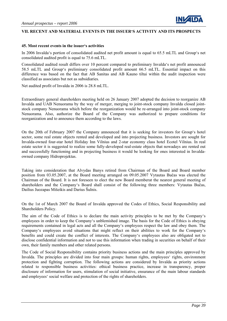

# <span id="page-38-0"></span>**VII. RECENT AND MATERIAL EVENTS IN THE ISSUER'S ACTIVITY AND ITS PROSPECTS**

#### **45. Most recent events in the issuer's activities**

In 2006 Invalda's portion of consolidated audited net profit amount is equal to 65.5 mLTL and Group's net consolidated audited profit is equal to 75.6 mLTL.

Consolidated audited result differs over 10 percent compared to preliminary Invalda's net profit announced 58.5 mLTL and Group's preliminary consolidated profit amount 66.5 mLTL. Essential impact on this difference was based on the fact that AB Sanitas and AB Kauno tiltai within the audit inspection were classified as associates but not as subsidiaries.

Net audited profit of Invalda in 2006 is 28.8 mLTL.

Extraordinary general shareholders meeting held on 26 January 2007 adopted the decision to reorganize AB Invalda and UAB Nenuorama by the way of merger, merging to joint-stock company Invalda closed jointstock company Nenuorama which before the reorganization would be re-arranged into joint-stock company Nenuorama. Also, authorize the Board of the Company was authorized to prepare conditions for reorganization and to announce them according to the laws.

On the 20th of February 2007 the Company announced that it is seeking for investors for Group's hotel sector, some real estate objects rented and developed and into projecting business. Investors are sought for Invalda-owned four-star hotel Holiday Inn Vilnius and 2-star economy class hotel Ecotel Vilnius. In real estate sector it is suggested to realize some fully-developed real-estate objects that nowadays are rented out and successfully functioning and in projecting business it would be looking for ones interested in Invaldaowned company Hidroprojektas.

Taking into consideration that Alvydas Banys retired from Chairman of the Board and Board member position from 03.05.2007, at the Board meeting arranged on 09.05.2007 Vytautas Bučas was elected the Chairman of the Board. It is not foreseen to elect the new Board memberat the nearest general meeting of shareholders and the Company's Board shall consist of the following three members: Vytautas Bučas, Dailius Juozapas Mišeikis and Darius Šulnis.

On the 1st of March 2007 the Board of Invalda approved the Codes of Ethics, Social Responsibility and Shareholders Policy.

The aim of the Code of Ethics is to declare the main activity principles to be met by the Company's employees in order to keep the Company's unblemished image. The basis for the Code of Ethics is obeying requirements contained in legal acts and all the Company's employees respect the law and obey them. The Company's employees avoid situations that might reflect on their abilities to work for the Company's benefits and could create the conflict of interests. The Company's employees also are obligated not to disclose confidential information and not to use this information when trading in securities on behalf of their own, their family members and other related persons.

The Code of Social Responsibility contains priority business actions and the main principles approved by Invalda. The principles are divided into four main groups: human rights, employees' rights, environment protection and fighting corruption. The following actions are considered by Invalda as priority actions related to responsible business activities: ethical business practice, increase in transparency, proper disclosure of information for users, stimulation of social initiative, ensurance of the main labour standards and employees' social welfare and protection of the rights of shareholders.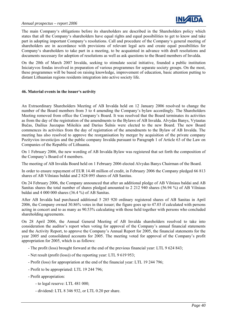

<span id="page-39-0"></span>The main Company's obligations before its shareholders are described in the Shareholders policy which states that all the Company's shareholders have equal rights and equal possibilities to get to know and take part in adopting important Company's resolutions. Call and procedure of the Company's general meeting of shareholders are in accordance with provisions of relevant legal acts and create equal possibilities for Company's shareholders to take part in a meeting, to be acquainted in advance with draft resolutions and documents necessary for adoption of resolutions as well as ask questions to the Board members of Invalda.

On the 20th of March 2007 Invalda, seeking to stimulate social initiative, founded a public institution Iniciatyvos fondas involved in preparation of various programmes for separate society groups. On the most, these programmes will be based on raising knowledge, improvement of education, basic attention putting to distant Lithuanian regions residents integration into active society life.

#### **46. Material events in the issuer's activity**

An Extraordinary Shareholders Meeting of AB Invalda held on 12 January 2006 resolved to change the number of the Board members from 3 to 4 amending the Company's bylaw accordingly. The Shareholders Meeting removed from office the Company's Board. It was resolved that the Board terminates its activities as from the day of the registration of the amendments to the Bylaws of AB Invalda. Alvydas Banys, Vytautas Bučas, Dailius Juozapas Mišeikis and Darius Šulnis were elected to the new Board. The new Board commences its activities from the day of registration of the amendments to the Bylaw of AB Invalda. The meeting has also resolved to approve the reorganisation by merger by acquisition of the private company Pozityvios investicijos and the public company Invalda pursuant to Paragraph 1 of Article 63 of the Law on Companies of the Republic of Lithuania.

On 1 February 2006, the new wording of AB Invalda Bylaw was registered that set forth the composition of the Company's Board of 4 members.

The meeting of AB Invalda Board held on 1 February 2006 elected Alvydas Banys Chairman of the Board.

In order to ensure repayment of EUR 14.48 million of credit, in February 2006 the Company pledged 66 813 shares of AB Vilniaus baldai and 2 828 095 shares of AB Sanitas.

On 24 February 2006, the Company announced that after an additional pledge of AB Vilniaus baldai and AB Sanitas shares the total number of shares pledged amounted to 2 212 940 shares (56.94 %) of AB Vilniaus baldai and 4 000 000 shares (36.4 %) of AB Sanitas.

After AB Invalda had purchased additional 5 285 920 ordinary registered shares of AB Sanitas in April 2006, the Company owned 30.86% votes in that issuer; the figure goes up to 47.03 if calculated with persons acting in concert and to as many as 90.53% calculating with those held together with persons who concluded shareholding agreements.

On 28 April 2006, the Annual General Meeting of AB Invalda shareholders resolved to take into consideration the auditor's report when voting for approval of the Company's annual financial statements and the Activity Report, to approve the Company's Annual Report for 2005, the financial statements for the year 2005 and consolidated accounts for 2005. The meeting voted for approval of the Company's profit appropriation for 2005, which is as follows:

- The profit (loss) brought forward at the end of the previous financial year: LTL 9 624 843;
- Net result (profit (loss)) of the reporting year: LTL 9 619 953;
- Profit (loss) for appropriation at the end of the financial year: LTL 19 244 796;
- Profit to be appropriated: LTL 19 244 796;
- Profit appropriation:
	- to legal reserve: LTL 481 000;
	- dividend: LTL 8 346 932, or LTL 0.20 per share.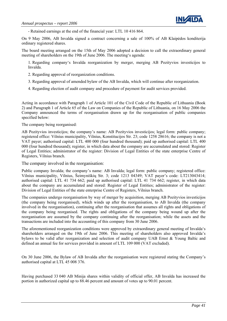

- Retained earnings at the end of the financial year: LTL 10 416 864.

On 9 May 2006, AB Invalda signed a contract concerning a sale of 100% of AB Klaipėdos konditerija ordinary registered shares.

The board meeting arranged on the 15th of May 2006 adopted a decision to call the extraordinary general meeting of shareholders on the 19th of June 2006. The meeting's agenda:

1. Regarding company's Invalda reorganization by merger, merging AB Pozityvios investicijos to Invalda.

- 2. Regarding approval of reorganization conditions.
- 3. Regarding approval of amended bylaw of the AB Invalda, which will continue after reorganization.
- 4. Regarding election of audit company and procedure of payment for audit services provided.

Acting in accordance with Paragraph 1 of Article 101 of the Civil Code of the Republic of Lithuania (Book 2) and Paragraph 1 of Article 65 of the Law on Companies of the Republic of Lithuania, on 16 May 2006 the Company announced the terms of reorganisation drawn up for the reorganisation of public companies specified below:

The company being reorganised:

AB Pozityvios investicijos; the company's name: AB Pozityvios investicijos; legal form: public company; registered office: Vilnius municipality, Vilnius, Konstitucijos Str. 23; code 1258 28616; the company is not a VAT payer; authorised capital: LTL 400 000 (four hundred thousand); paid up authorised capital: LTL 400 000 (four hundred thousand); register, in which data about the company are accumulated and stored: Register of Legal Entities; administrator of the register: Division of Legal Entities of the state enterprise Centre of Registers, Vilnius branch.

The company involved in the reorganisation:

Public company Invalda; the company's name: AB Invalda; legal form: public company; registered office: Vilnius municipality, Vilnius, Šeimyniškių Str. 3; code 1213 04349; VAT payer's code: LT213043414; authorised capital: LTL 41 734 662; paid up authorised capital: LTL 41 734 662; register, in which data about the company are accumulated and stored: Register of Legal Entities; administrator of the register: Division of Legal Entities of the state enterprise Centre of Registers, Vilnius branch.

The companies undergo reorganisation by way of merger by acquisition, merging AB Pozityvios investicijos (the company being reorganised), which winds up after the reorganisation, to AB Invalda (the company involved in the reorganisation), continuing after the reorganisation that assumes all rights and obligations of the company being reorganised. The rights and obligations of the company being wound up after the reorganisation are assumed by the company continuing after the reorganisation; while the assets and the transactions are included into the accounting of this company from 30 June 2006.

The aforementioned reorganization conditions were approved by extraordinary general meeting of Invalda's shareholders arranged on the 19th of June 2006. This meeting of shareholders also approved Invalda's bylaws to be valid after reorganization and selection of audit company UAB Ernst & Young Baltic and defined an annual fee for services provided in amount of LTL 109 000 (VAT excluded).

On 30 June 2006, the Bylaw of AB Invalda after the reorganisation were registered stating the Company's authorised capital at LTL 45 008 376.

Having purchased 33 040 AB Minija shares within validity of official offer, AB Invalda has increased the portion in authorized capital up to 88.46 percent and amount of votes up to 90.01 percent.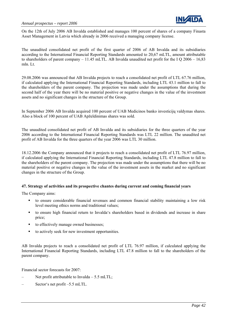

<span id="page-41-0"></span>On the 12th of July 2006 AB Invalda established and manages 100 percent of shares of a company Finasta Asset Management in Latvia which already in 2006 received a managing company license.

The unaudited consolidated net profit of the first quarter of 2006 of AB Invalda and its subsidiaries according to the International Financial Reporting Standards amounted to 20,67 mLTL, amount attributable to shareholders of parent company – 11.45 mLTL. AB Invalda unaudited net profit for the I Q 2006 – 16,83 mln. Lt.

29.08.2006 was announced that AB Invalda projects to reach a consolidated net profit of LTL 67.76 million, if calculated applying the International Financial Reporting Standards, including LTL 43.1 million to fall to the shareholders of the parent company. The projection was made under the assumptions that during the second half of the year there will be no material positive or negative changes in the value of the investment assets and no significant changes in the structure of the Group.

In September 2006 AB Invalda acquired 100 percent of UAB Medicinos banko investicijų valdymas shares. Also a block of 100 percent of UAB Apželdinimas shares was sold.

The unaudited consolidated net profit of AB Invalda and its subsidiaries for the three quarters of the year 2006 according to the International Financial Reporting Standards was LTL 22 million. The unaudited net profit of AB Invalda for the three quarters of the year 2006 was LTL 30 million.

18.12.2006 the Company announced that it projects to reach a consolidated net profit of LTL 76.97 million, if calculated applying the International Financial Reporting Standards, including LTL 47.8 million to fall to the shareholders of the parent company. The projection was made under the assumptions that there will be no material positive or negative changes in the value of the investment assets in the market and no significant changes in the structure of the Group.

#### **47. Strategy of activities and its prospective chantes during current and coming financial years**

The Company aims:

- to ensure considerable financial revenues and common financial stability maintaining a low risk level meeting ethics norms and traditional values;
- to ensure high financial return to Invalda's shareholders based in dividends and increase in share price;
- to effectively manage owned businesses;
- to actively seek for new investment opportunities.

AB Invalda projects to reach a consolidated net profit of LTL 76.97 million, if calculated applying the International Financial Reporting Standards, including LTL 47.8 million to fall to the shareholders of the parent company.

Financial sector forecasts for 2007:

- Net profit attributable to Invalda  $-$  5.5 mLTL;
- Sector's net profit –5.5 mLTL.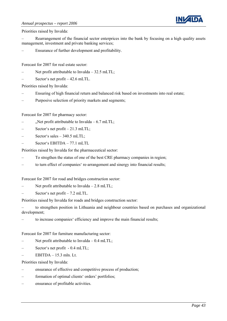

Priorities raised by Invalda:

– Rearrangement of the financial sector enterprices into the bank by focusing on a high quality assets management, investment and private banking services;

- Ensurance of further development and profitability.
- Forecast for 2007 for real estate sector:
- Net profit attributable to Invalda  $-32.5$  mLTL;
- Sector's net profit 42.6 mLTL.

Priorities raised by Invalda:

- Ensuring of high financial return and balanced risk based on investments into real estate;
- Purposive selection of priority markets and segments;

Forecast for 2007 for pharmacy sector:

- "Net profit attributable to Invalda  $-6.7$  mLTL;
- Sector's net profit  $-21.3$  mLTL;
- Sector's sales  $-340.5$  mLTL;
- Sector's EBITDA 77.1 mLTL

Priorities raised by Invalda for the pharmaceutical sector:

- To stregthen the status of one of the best CRE pharmacy companies in region;
- to turn effect of companies' re-arrangement and sinergy into financial results;

Forecast for 2007 for road and bridges construction sector:

- Net profit attributable to Invalda  $-2.8$  mLTL;
- Sector's net profit 7.2 mLTL.

Priorities raised by Invalda for roads and bridges construction sector:

– to strengthen position in Lithuania and neighbour countries based on purchases and organizational development;

– to increase companies' efficiency and improve the main financial results;

Forecast for 2007 for furniture manufacturing sector:

- Net profit attributable to Invalda  $-0.4$  mLTL;
- Sector's net profit 0.4 mLTL;
- $-$  EBITDA  $-15.3$  mln. Lt.

Priorities raised by Invalda:

- ensurance of effective and competitive process of production;
- formation of optimal clients' orders' portfolios;
- ensurance of profitable activities.